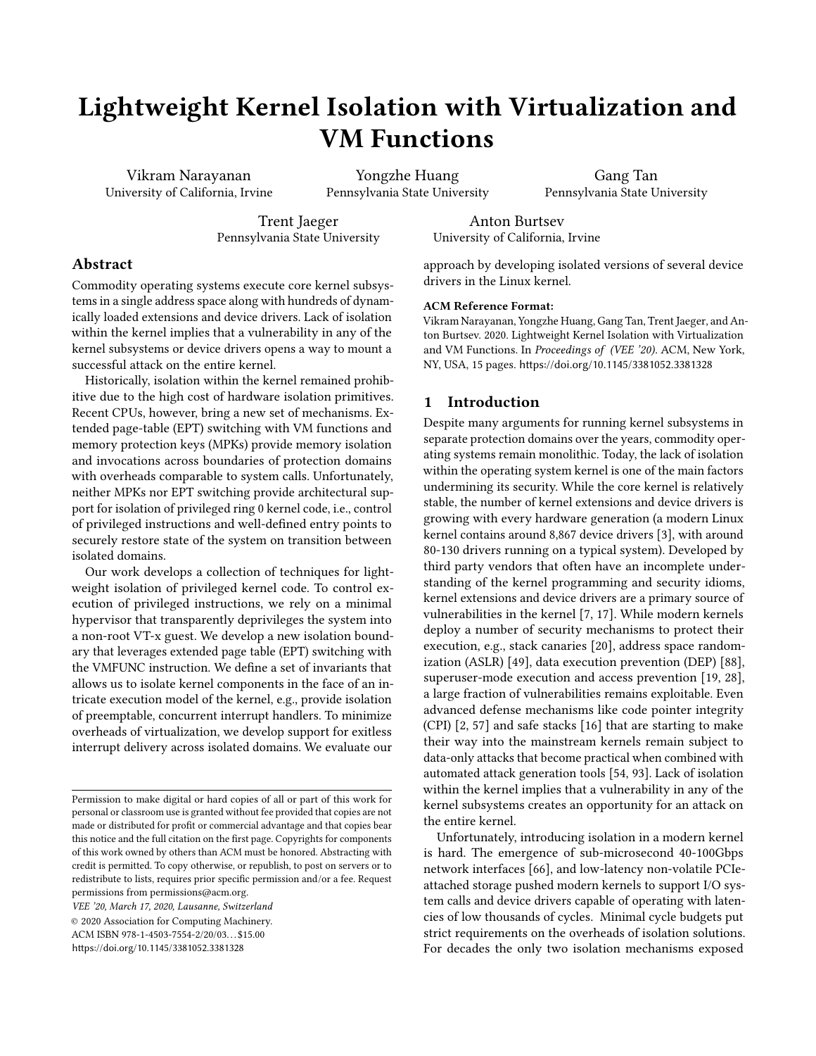# Lightweight Kernel Isolation with Virtualization and VM Functions

Vikram Narayanan University of California, Irvine

Yongzhe Huang Pennsylvania State University

Gang Tan Pennsylvania State University

Trent Jaeger Pennsylvania State University

Anton Burtsev University of California, Irvine

## Abstract

Commodity operating systems execute core kernel subsystems in a single address space along with hundreds of dynamically loaded extensions and device drivers. Lack of isolation within the kernel implies that a vulnerability in any of the kernel subsystems or device drivers opens a way to mount a successful attack on the entire kernel.

Historically, isolation within the kernel remained prohibitive due to the high cost of hardware isolation primitives. Recent CPUs, however, bring a new set of mechanisms. Extended page-table (EPT) switching with VM functions and memory protection keys (MPKs) provide memory isolation and invocations across boundaries of protection domains with overheads comparable to system calls. Unfortunately, neither MPKs nor EPT switching provide architectural support for isolation of privileged ring 0 kernel code, i.e., control of privileged instructions and well-defined entry points to securely restore state of the system on transition between isolated domains.

Our work develops a collection of techniques for lightweight isolation of privileged kernel code. To control execution of privileged instructions, we rely on a minimal hypervisor that transparently deprivileges the system into a non-root VT-x guest. We develop a new isolation boundary that leverages extended page table (EPT) switching with the VMFUNC instruction. We define a set of invariants that allows us to isolate kernel components in the face of an intricate execution model of the kernel, e.g., provide isolation of preemptable, concurrent interrupt handlers. To minimize overheads of virtualization, we develop support for exitless interrupt delivery across isolated domains. We evaluate our

VEE '20, March 17, 2020, Lausanne, Switzerland

© 2020 Association for Computing Machinery.

ACM ISBN 978-1-4503-7554-2/20/03. . . \$15.00

<https://doi.org/10.1145/3381052.3381328>

approach by developing isolated versions of several device drivers in the Linux kernel.

#### ACM Reference Format:

Vikram Narayanan, Yongzhe Huang, Gang Tan, Trent Jaeger, and Anton Burtsev. 2020. Lightweight Kernel Isolation with Virtualization and VM Functions. In Proceedings of (VEE '20). ACM, New York, NY, USA, [15](#page-14-0) pages. <https://doi.org/10.1145/3381052.3381328>

#### 1 Introduction

Despite many arguments for running kernel subsystems in separate protection domains over the years, commodity operating systems remain monolithic. Today, the lack of isolation within the operating system kernel is one of the main factors undermining its security. While the core kernel is relatively stable, the number of kernel extensions and device drivers is growing with every hardware generation (a modern Linux kernel contains around 8,867 device drivers [\[3\]](#page-12-0), with around 80-130 drivers running on a typical system). Developed by third party vendors that often have an incomplete understanding of the kernel programming and security idioms, kernel extensions and device drivers are a primary source of vulnerabilities in the kernel [\[7,](#page-12-1) [17\]](#page-12-2). While modern kernels deploy a number of security mechanisms to protect their execution, e.g., stack canaries [\[20\]](#page-12-3), address space randomization (ASLR) [\[49\]](#page-13-0), data execution prevention (DEP) [\[88\]](#page-14-1), superuser-mode execution and access prevention [\[19,](#page-12-4) [28\]](#page-12-5), a large fraction of vulnerabilities remains exploitable. Even advanced defense mechanisms like code pointer integrity (CPI) [\[2,](#page-12-6) [57\]](#page-13-1) and safe stacks [\[16\]](#page-12-7) that are starting to make their way into the mainstream kernels remain subject to data-only attacks that become practical when combined with automated attack generation tools [\[54,](#page-13-2) [93\]](#page-14-2). Lack of isolation within the kernel implies that a vulnerability in any of the kernel subsystems creates an opportunity for an attack on the entire kernel.

Unfortunately, introducing isolation in a modern kernel is hard. The emergence of sub-microsecond 40-100Gbps network interfaces [\[66\]](#page-13-3), and low-latency non-volatile PCIeattached storage pushed modern kernels to support I/O system calls and device drivers capable of operating with latencies of low thousands of cycles. Minimal cycle budgets put strict requirements on the overheads of isolation solutions. For decades the only two isolation mechanisms exposed

Permission to make digital or hard copies of all or part of this work for personal or classroom use is granted without fee provided that copies are not made or distributed for profit or commercial advantage and that copies bear this notice and the full citation on the first page. Copyrights for components of this work owned by others than ACM must be honored. Abstracting with credit is permitted. To copy otherwise, or republish, to post on servers or to redistribute to lists, requires prior specific permission and/or a fee. Request permissions from permissions@acm.org.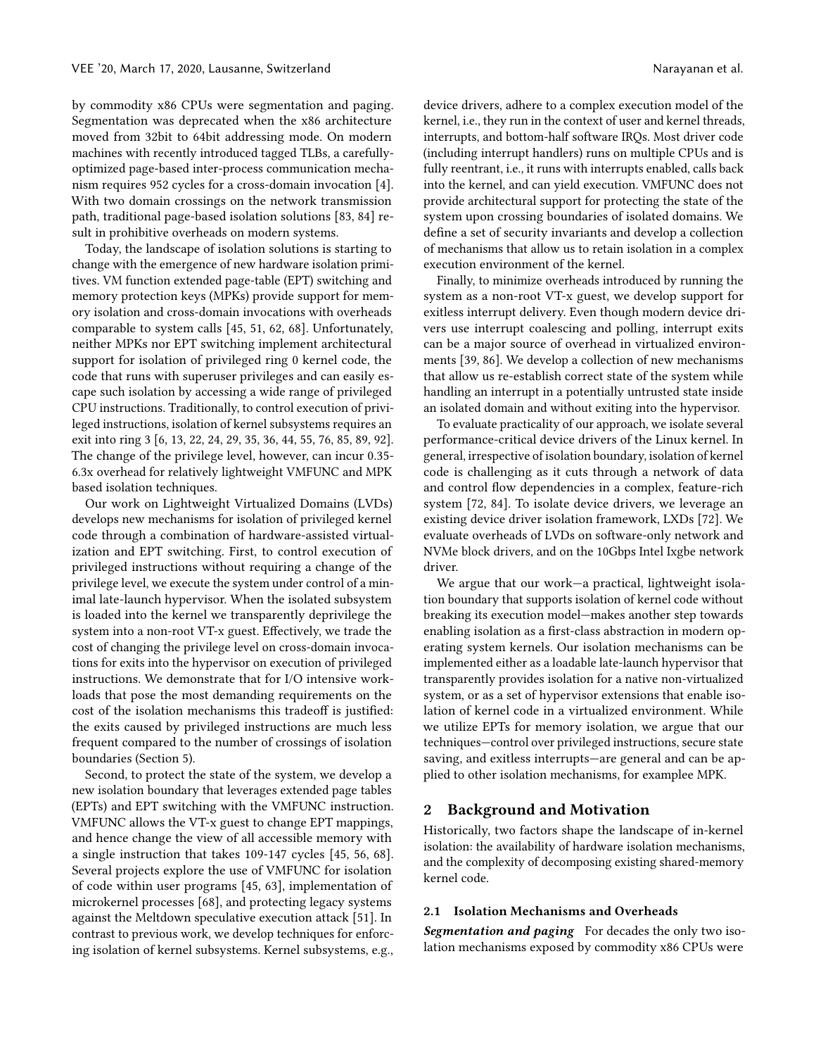by commodity x86 CPUs were segmentation and paging. Segmentation was deprecated when the x86 architecture moved from 32bit to 64bit addressing mode. On modern machines with recently introduced tagged TLBs, a carefullyoptimized page-based inter-process communication mechanism requires 952 cycles for a cross-domain invocation [\[4\]](#page-12-8). With two domain crossings on the network transmission path, traditional page-based isolation solutions [\[83,](#page-14-3) [84\]](#page-14-4) result in prohibitive overheads on modern systems.

Today, the landscape of isolation solutions is starting to change with the emergence of new hardware isolation primitives. VM function extended page-table (EPT) switching and memory protection keys (MPKs) provide support for memory isolation and cross-domain invocations with overheads comparable to system calls [\[45,](#page-13-4) [51,](#page-13-5) [62,](#page-13-6) [68\]](#page-13-7). Unfortunately, neither MPKs nor EPT switching implement architectural support for isolation of privileged ring 0 kernel code, the code that runs with superuser privileges and can easily escape such isolation by accessing a wide range of privileged CPU instructions. Traditionally, to control execution of privileged instructions, isolation of kernel subsystems requires an exit into ring 3 [\[6,](#page-12-9) [13,](#page-12-10) [22,](#page-12-11) [24,](#page-12-12) [29,](#page-12-13) [35,](#page-12-14) [36,](#page-12-15) [44,](#page-13-8) [55,](#page-13-9) [76,](#page-13-10) [85,](#page-14-5) [89,](#page-14-6) [92\]](#page-14-7). The change of the privilege level, however, can incur 0.35- 6.3x overhead for relatively lightweight VMFUNC and MPK based isolation techniques.

Our work on Lightweight Virtualized Domains (LVDs) develops new mechanisms for isolation of privileged kernel code through a combination of hardware-assisted virtualization and EPT switching. First, to control execution of privileged instructions without requiring a change of the privilege level, we execute the system under control of a minimal late-launch hypervisor. When the isolated subsystem is loaded into the kernel we transparently deprivilege the system into a non-root VT-x guest. Effectively, we trade the cost of changing the privilege level on cross-domain invocations for exits into the hypervisor on execution of privileged instructions. We demonstrate that for I/O intensive workloads that pose the most demanding requirements on the cost of the isolation mechanisms this tradeoff is justified: the exits caused by privileged instructions are much less frequent compared to the number of crossings of isolation boundaries [\(Section 5\)](#page-8-0).

Second, to protect the state of the system, we develop a new isolation boundary that leverages extended page tables (EPTs) and EPT switching with the VMFUNC instruction. VMFUNC allows the VT-x guest to change EPT mappings, and hence change the view of all accessible memory with a single instruction that takes 109-147 cycles [\[45,](#page-13-4) [56,](#page-13-11) [68\]](#page-13-7). Several projects explore the use of VMFUNC for isolation of code within user programs [\[45,](#page-13-4) [63\]](#page-13-12), implementation of microkernel processes [\[68\]](#page-13-7), and protecting legacy systems against the Meltdown speculative execution attack [\[51\]](#page-13-5). In contrast to previous work, we develop techniques for enforcing isolation of kernel subsystems. Kernel subsystems, e.g.,

device drivers, adhere to a complex execution model of the kernel, i.e., they run in the context of user and kernel threads, interrupts, and bottom-half software IRQs. Most driver code (including interrupt handlers) runs on multiple CPUs and is fully reentrant, i.e., it runs with interrupts enabled, calls back into the kernel, and can yield execution. VMFUNC does not provide architectural support for protecting the state of the system upon crossing boundaries of isolated domains. We define a set of security invariants and develop a collection of mechanisms that allow us to retain isolation in a complex execution environment of the kernel.

Finally, to minimize overheads introduced by running the system as a non-root VT-x guest, we develop support for exitless interrupt delivery. Even though modern device drivers use interrupt coalescing and polling, interrupt exits can be a major source of overhead in virtualized environments [\[39,](#page-12-16) [86\]](#page-14-8). We develop a collection of new mechanisms that allow us re-establish correct state of the system while handling an interrupt in a potentially untrusted state inside an isolated domain and without exiting into the hypervisor.

To evaluate practicality of our approach, we isolate several performance-critical device drivers of the Linux kernel. In general, irrespective of isolation boundary, isolation of kernel code is challenging as it cuts through a network of data and control flow dependencies in a complex, feature-rich system [\[72,](#page-13-13) [84\]](#page-14-4). To isolate device drivers, we leverage an existing device driver isolation framework, LXDs [\[72\]](#page-13-13). We evaluate overheads of LVDs on software-only network and NVMe block drivers, and on the 10Gbps Intel Ixgbe network driver.

We argue that our work—a practical, lightweight isolation boundary that supports isolation of kernel code without breaking its execution model—makes another step towards enabling isolation as a first-class abstraction in modern operating system kernels. Our isolation mechanisms can be implemented either as a loadable late-launch hypervisor that transparently provides isolation for a native non-virtualized system, or as a set of hypervisor extensions that enable isolation of kernel code in a virtualized environment. While we utilize EPTs for memory isolation, we argue that our techniques—control over privileged instructions, secure state saving, and exitless interrupts—are general and can be applied to other isolation mechanisms, for examplee MPK.

#### 2 Background and Motivation

Historically, two factors shape the landscape of in-kernel isolation: the availability of hardware isolation mechanisms, and the complexity of decomposing existing shared-memory kernel code.

#### 2.1 Isolation Mechanisms and Overheads

Segmentation and paging For decades the only two isolation mechanisms exposed by commodity x86 CPUs were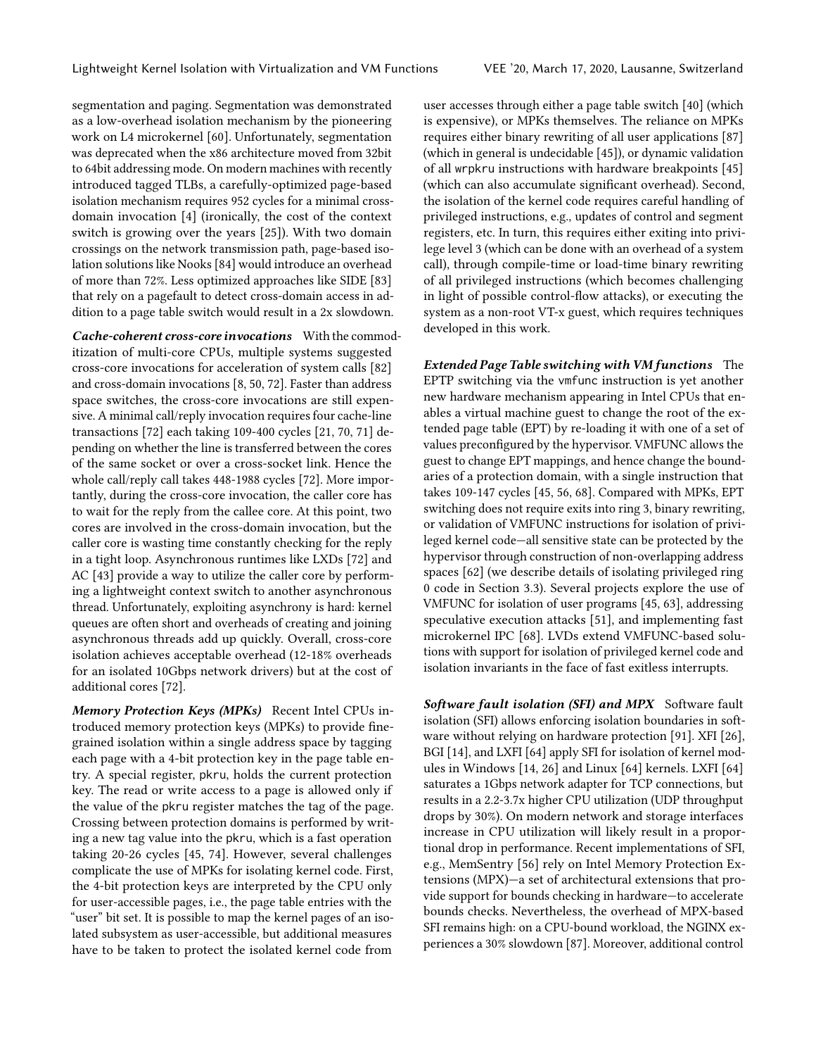segmentation and paging. Segmentation was demonstrated as a low-overhead isolation mechanism by the pioneering work on L4 microkernel [\[60\]](#page-13-14). Unfortunately, segmentation was deprecated when the x86 architecture moved from 32bit to 64bit addressing mode. On modern machines with recently introduced tagged TLBs, a carefully-optimized page-based isolation mechanism requires 952 cycles for a minimal crossdomain invocation [\[4\]](#page-12-8) (ironically, the cost of the context switch is growing over the years [\[25\]](#page-12-17)). With two domain crossings on the network transmission path, page-based isolation solutions like Nooks [\[84\]](#page-14-4) would introduce an overhead of more than 72%. Less optimized approaches like SIDE [\[83\]](#page-14-3) that rely on a pagefault to detect cross-domain access in addition to a page table switch would result in a 2x slowdown.

Cache-coherent cross-core invocations With the commoditization of multi-core CPUs, multiple systems suggested cross-core invocations for acceleration of system calls [\[82\]](#page-14-9) and cross-domain invocations [\[8,](#page-12-18) [50,](#page-13-15) [72\]](#page-13-13). Faster than address space switches, the cross-core invocations are still expensive. A minimal call/reply invocation requires four cache-line transactions [\[72\]](#page-13-13) each taking 109-400 cycles [\[21,](#page-12-19) [70,](#page-13-16) [71\]](#page-13-17) depending on whether the line is transferred between the cores of the same socket or over a cross-socket link. Hence the whole call/reply call takes 448-1988 cycles [\[72\]](#page-13-13). More importantly, during the cross-core invocation, the caller core has to wait for the reply from the callee core. At this point, two cores are involved in the cross-domain invocation, but the caller core is wasting time constantly checking for the reply in a tight loop. Asynchronous runtimes like LXDs [\[72\]](#page-13-13) and AC [\[43\]](#page-13-18) provide a way to utilize the caller core by performing a lightweight context switch to another asynchronous thread. Unfortunately, exploiting asynchrony is hard: kernel queues are often short and overheads of creating and joining asynchronous threads add up quickly. Overall, cross-core isolation achieves acceptable overhead (12-18% overheads for an isolated 10Gbps network drivers) but at the cost of additional cores [\[72\]](#page-13-13).

Memory Protection Keys (MPKs) Recent Intel CPUs introduced memory protection keys (MPKs) to provide finegrained isolation within a single address space by tagging each page with a 4-bit protection key in the page table entry. A special register, pkru, holds the current protection key. The read or write access to a page is allowed only if the value of the pkru register matches the tag of the page. Crossing between protection domains is performed by writing a new tag value into the pkru, which is a fast operation taking 20-26 cycles [\[45,](#page-13-4) [74\]](#page-13-19). However, several challenges complicate the use of MPKs for isolating kernel code. First, the 4-bit protection keys are interpreted by the CPU only for user-accessible pages, i.e., the page table entries with the "user" bit set. It is possible to map the kernel pages of an isolated subsystem as user-accessible, but additional measures have to be taken to protect the isolated kernel code from

user accesses through either a page table switch [\[40\]](#page-12-20) (which is expensive), or MPKs themselves. The reliance on MPKs requires either binary rewriting of all user applications [\[87\]](#page-14-10) (which in general is undecidable [\[45\]](#page-13-4)), or dynamic validation of all wrpkru instructions with hardware breakpoints [\[45\]](#page-13-4) (which can also accumulate significant overhead). Second, the isolation of the kernel code requires careful handling of privileged instructions, e.g., updates of control and segment registers, etc. In turn, this requires either exiting into privilege level 3 (which can be done with an overhead of a system call), through compile-time or load-time binary rewriting of all privileged instructions (which becomes challenging in light of possible control-flow attacks), or executing the system as a non-root VT-x guest, which requires techniques developed in this work.

Extended Page Table switching with VM functions The EPTP switching via the vmfunc instruction is yet another new hardware mechanism appearing in Intel CPUs that enables a virtual machine guest to change the root of the extended page table (EPT) by re-loading it with one of a set of values preconfigured by the hypervisor. VMFUNC allows the guest to change EPT mappings, and hence change the boundaries of a protection domain, with a single instruction that takes 109-147 cycles [\[45,](#page-13-4) [56,](#page-13-11) [68\]](#page-13-7). Compared with MPKs, EPT switching does not require exits into ring 3, binary rewriting, or validation of VMFUNC instructions for isolation of privileged kernel code—all sensitive state can be protected by the hypervisor through construction of non-overlapping address spaces [\[62\]](#page-13-6) (we describe details of isolating privileged ring 0 code in [Section 3.3\)](#page-5-0). Several projects explore the use of VMFUNC for isolation of user programs [\[45,](#page-13-4) [63\]](#page-13-12), addressing speculative execution attacks [\[51\]](#page-13-5), and implementing fast microkernel IPC [\[68\]](#page-13-7). LVDs extend VMFUNC-based solutions with support for isolation of privileged kernel code and isolation invariants in the face of fast exitless interrupts.

Software fault isolation (SFI) and MPX Software fault isolation (SFI) allows enforcing isolation boundaries in software without relying on hardware protection [\[91\]](#page-14-11). XFI [\[26\]](#page-12-21), BGI [\[14\]](#page-12-22), and LXFI [\[64\]](#page-13-20) apply SFI for isolation of kernel modules in Windows [\[14,](#page-12-22) [26\]](#page-12-21) and Linux [\[64\]](#page-13-20) kernels. LXFI [\[64\]](#page-13-20) saturates a 1Gbps network adapter for TCP connections, but results in a 2.2-3.7x higher CPU utilization (UDP throughput drops by 30%). On modern network and storage interfaces increase in CPU utilization will likely result in a proportional drop in performance. Recent implementations of SFI, e.g., MemSentry [\[56\]](#page-13-11) rely on Intel Memory Protection Extensions (MPX)—a set of architectural extensions that provide support for bounds checking in hardware—to accelerate bounds checks. Nevertheless, the overhead of MPX-based SFI remains high: on a CPU-bound workload, the NGINX experiences a 30% slowdown [\[87\]](#page-14-10). Moreover, additional control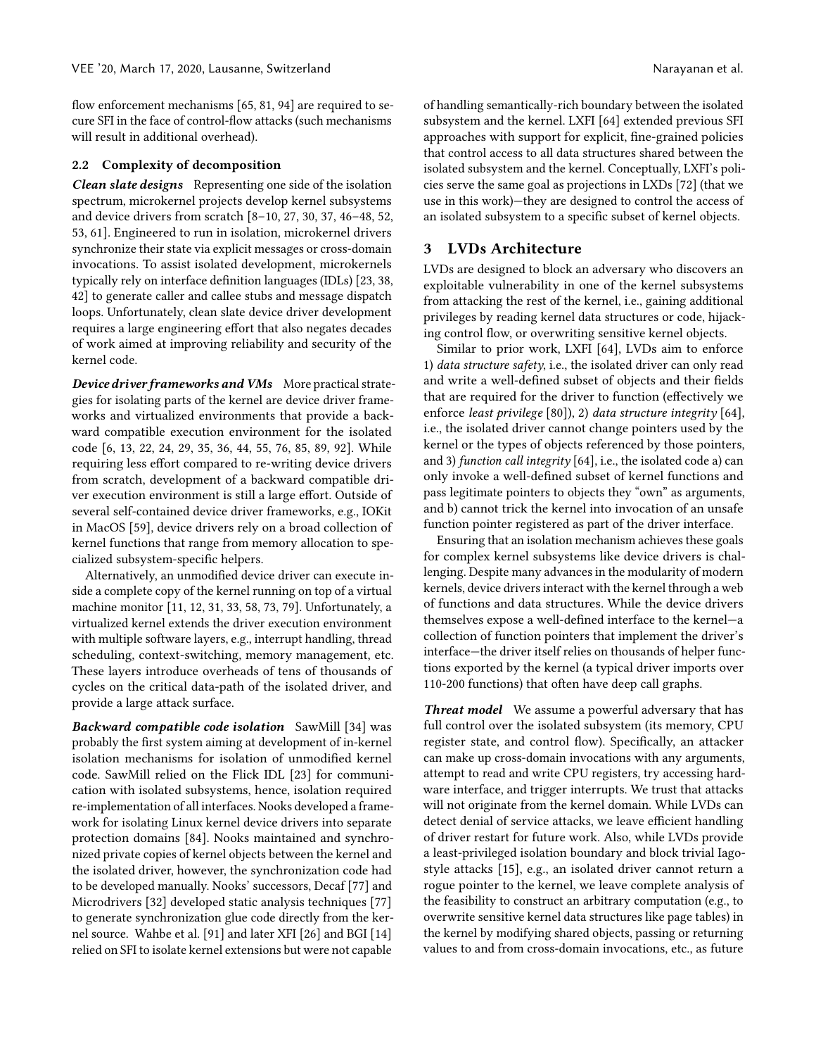flow enforcement mechanisms [\[65,](#page-13-21) [81,](#page-14-12) [94\]](#page-14-13) are required to secure SFI in the face of control-flow attacks (such mechanisms will result in additional overhead).

#### 2.2 Complexity of decomposition

Clean slate designs Representing one side of the isolation spectrum, microkernel projects develop kernel subsystems and device drivers from scratch [\[8–](#page-12-18)[10,](#page-12-23) [27,](#page-12-24) [30,](#page-12-25) [37,](#page-12-26) [46–](#page-13-22)[48,](#page-13-23) [52,](#page-13-24) [53,](#page-13-25) [61\]](#page-13-26). Engineered to run in isolation, microkernel drivers synchronize their state via explicit messages or cross-domain invocations. To assist isolated development, microkernels typically rely on interface definition languages (IDLs) [\[23,](#page-12-27) [38,](#page-12-28) [42\]](#page-12-29) to generate caller and callee stubs and message dispatch loops. Unfortunately, clean slate device driver development requires a large engineering effort that also negates decades of work aimed at improving reliability and security of the kernel code.

Device driver frameworks and VMs More practical strategies for isolating parts of the kernel are device driver frameworks and virtualized environments that provide a backward compatible execution environment for the isolated code [\[6,](#page-12-9) [13,](#page-12-10) [22,](#page-12-11) [24,](#page-12-12) [29,](#page-12-13) [35,](#page-12-14) [36,](#page-12-15) [44,](#page-13-8) [55,](#page-13-9) [76,](#page-13-10) [85,](#page-14-5) [89,](#page-14-6) [92\]](#page-14-7). While requiring less effort compared to re-writing device drivers from scratch, development of a backward compatible driver execution environment is still a large effort. Outside of several self-contained device driver frameworks, e.g., IOKit in MacOS [\[59\]](#page-13-27), device drivers rely on a broad collection of kernel functions that range from memory allocation to specialized subsystem-specific helpers.

Alternatively, an unmodified device driver can execute inside a complete copy of the kernel running on top of a virtual machine monitor [\[11,](#page-12-30) [12,](#page-12-31) [31,](#page-12-32) [33,](#page-12-33) [58,](#page-13-28) [73,](#page-13-29) [79\]](#page-14-14). Unfortunately, a virtualized kernel extends the driver execution environment with multiple software layers, e.g., interrupt handling, thread scheduling, context-switching, memory management, etc. These layers introduce overheads of tens of thousands of cycles on the critical data-path of the isolated driver, and provide a large attack surface.

Backward compatible code isolation SawMill [\[34\]](#page-12-34) was probably the first system aiming at development of in-kernel isolation mechanisms for isolation of unmodified kernel code. SawMill relied on the Flick IDL [\[23\]](#page-12-27) for communication with isolated subsystems, hence, isolation required re-implementation of all interfaces. Nooks developed a framework for isolating Linux kernel device drivers into separate protection domains [\[84\]](#page-14-4). Nooks maintained and synchronized private copies of kernel objects between the kernel and the isolated driver, however, the synchronization code had to be developed manually. Nooks' successors, Decaf [\[77\]](#page-13-30) and Microdrivers [\[32\]](#page-12-35) developed static analysis techniques [\[77\]](#page-13-30) to generate synchronization glue code directly from the kernel source. Wahbe et al. [\[91\]](#page-14-11) and later XFI [\[26\]](#page-12-21) and BGI [\[14\]](#page-12-22) relied on SFI to isolate kernel extensions but were not capable

of handling semantically-rich boundary between the isolated subsystem and the kernel. LXFI [\[64\]](#page-13-20) extended previous SFI approaches with support for explicit, fine-grained policies that control access to all data structures shared between the isolated subsystem and the kernel. Conceptually, LXFI's policies serve the same goal as projections in LXDs [\[72\]](#page-13-13) (that we use in this work)—they are designed to control the access of an isolated subsystem to a specific subset of kernel objects.

## 3 LVDs Architecture

LVDs are designed to block an adversary who discovers an exploitable vulnerability in one of the kernel subsystems from attacking the rest of the kernel, i.e., gaining additional privileges by reading kernel data structures or code, hijacking control flow, or overwriting sensitive kernel objects.

Similar to prior work, LXFI [\[64\]](#page-13-20), LVDs aim to enforce 1) data structure safety, i.e., the isolated driver can only read and write a well-defined subset of objects and their fields that are required for the driver to function (effectively we enforce least privilege [\[80\]](#page-14-15)), 2) data structure integrity [\[64\]](#page-13-20), i.e., the isolated driver cannot change pointers used by the kernel or the types of objects referenced by those pointers, and 3) function call integrity [\[64\]](#page-13-20), i.e., the isolated code a) can only invoke a well-defined subset of kernel functions and pass legitimate pointers to objects they "own" as arguments, and b) cannot trick the kernel into invocation of an unsafe function pointer registered as part of the driver interface.

Ensuring that an isolation mechanism achieves these goals for complex kernel subsystems like device drivers is challenging. Despite many advances in the modularity of modern kernels, device drivers interact with the kernel through a web of functions and data structures. While the device drivers themselves expose a well-defined interface to the kernel—a collection of function pointers that implement the driver's interface—the driver itself relies on thousands of helper functions exported by the kernel (a typical driver imports over 110-200 functions) that often have deep call graphs.

Threat model We assume a powerful adversary that has full control over the isolated subsystem (its memory, CPU register state, and control flow). Specifically, an attacker can make up cross-domain invocations with any arguments, attempt to read and write CPU registers, try accessing hardware interface, and trigger interrupts. We trust that attacks will not originate from the kernel domain. While LVDs can detect denial of service attacks, we leave efficient handling of driver restart for future work. Also, while LVDs provide a least-privileged isolation boundary and block trivial Iagostyle attacks [\[15\]](#page-12-36), e.g., an isolated driver cannot return a rogue pointer to the kernel, we leave complete analysis of the feasibility to construct an arbitrary computation (e.g., to overwrite sensitive kernel data structures like page tables) in the kernel by modifying shared objects, passing or returning values to and from cross-domain invocations, etc., as future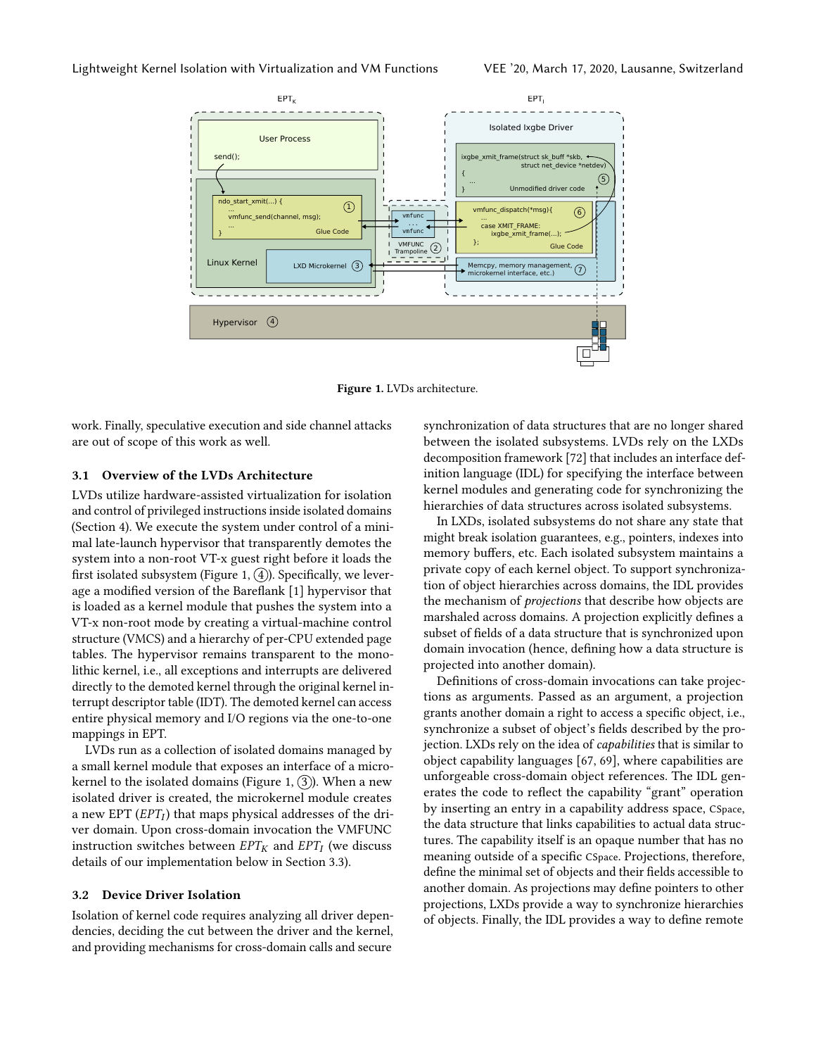<span id="page-4-0"></span>

Figure 1. LVDs architecture.

work. Finally, speculative execution and side channel attacks are out of scope of this work as well.

#### 3.1 Overview of the LVDs Architecture

LVDs utilize hardware-assisted virtualization for isolation and control of privileged instructions inside isolated domains [\(Section 4\)](#page-5-1). We execute the system under control of a minimal late-launch hypervisor that transparently demotes the system into a non-root VT-x guest right before it loads the first isolated subsystem [\(Figure 1,](#page-4-0)  $(4)$ ). Specifically, we leverage a modified version of the Bareflank [\[1\]](#page-12-37) hypervisor that is loaded as a kernel module that pushes the system into a VT-x non-root mode by creating a virtual-machine control structure (VMCS) and a hierarchy of per-CPU extended page tables. The hypervisor remains transparent to the monolithic kernel, i.e., all exceptions and interrupts are delivered directly to the demoted kernel through the original kernel interrupt descriptor table (IDT). The demoted kernel can access entire physical memory and I/O regions via the one-to-one mappings in EPT.

LVDs run as a collection of isolated domains managed by a small kernel module that exposes an interface of a micro-kernel to the isolated domains [\(Figure 1,](#page-4-0)  $(3)$ ). When a new isolated driver is created, the microkernel module creates a new EPT  $(EPT_I)$  that maps physical addresses of the dri-<br>ver domain. Upon cross-domain invocation the VMEUNC ver domain. Upon cross-domain invocation the VMFUNC instruction switches between  $EPT_K$  and  $EPT_I$  (we discuss details of our implementation below in Section 3.3) details of our implementation below in [Section 3.3\)](#page-5-0).

#### 3.2 Device Driver Isolation

Isolation of kernel code requires analyzing all driver dependencies, deciding the cut between the driver and the kernel, and providing mechanisms for cross-domain calls and secure

synchronization of data structures that are no longer shared between the isolated subsystems. LVDs rely on the LXDs decomposition framework [\[72\]](#page-13-13) that includes an interface definition language (IDL) for specifying the interface between kernel modules and generating code for synchronizing the hierarchies of data structures across isolated subsystems.

In LXDs, isolated subsystems do not share any state that might break isolation guarantees, e.g., pointers, indexes into memory buffers, etc. Each isolated subsystem maintains a private copy of each kernel object. To support synchronization of object hierarchies across domains, the IDL provides the mechanism of projections that describe how objects are marshaled across domains. A projection explicitly defines a subset of fields of a data structure that is synchronized upon domain invocation (hence, defining how a data structure is projected into another domain).

Definitions of cross-domain invocations can take projections as arguments. Passed as an argument, a projection grants another domain a right to access a specific object, i.e., synchronize a subset of object's fields described by the projection. LXDs rely on the idea of capabilities that is similar to object capability languages [\[67,](#page-13-31) [69\]](#page-13-32), where capabilities are unforgeable cross-domain object references. The IDL generates the code to reflect the capability "grant" operation by inserting an entry in a capability address space, CSpace, the data structure that links capabilities to actual data structures. The capability itself is an opaque number that has no meaning outside of a specific CSpace. Projections, therefore, define the minimal set of objects and their fields accessible to another domain. As projections may define pointers to other projections, LXDs provide a way to synchronize hierarchies of objects. Finally, the IDL provides a way to define remote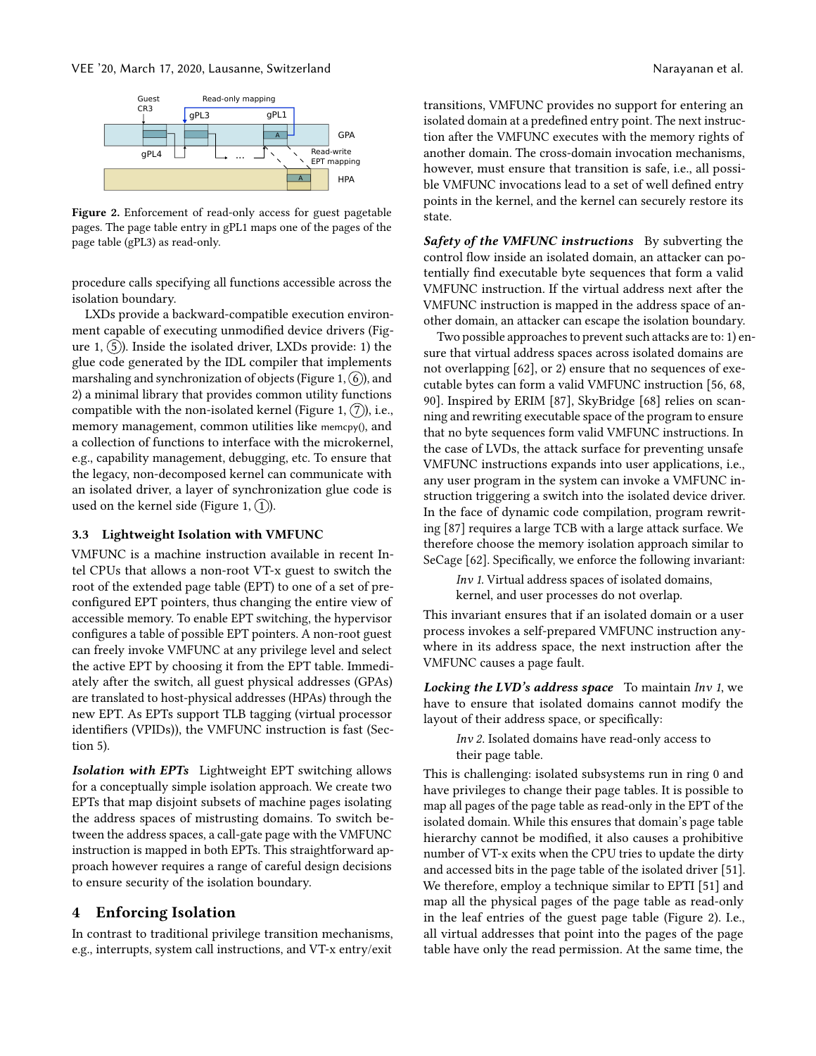<span id="page-5-2"></span>

Figure 2. Enforcement of read-only access for guest pagetable pages. The page table entry in gPL1 maps one of the pages of the page table (gPL3) as read-only.

procedure calls specifying all functions accessible across the isolation boundary.

LXDs provide a backward-compatible execution environment capable of executing unmodified device drivers [\(Fig](#page-4-0)[ure 1,](#page-4-0)  $(5)$ ). Inside the isolated driver, LXDs provide: 1) the glue code generated by the IDL compiler that implements marshaling and synchronization of objects [\(Figure 1,](#page-4-0)  $(6)$ ), and 2) a minimal library that provides common utility functions compatible with the non-isolated kernel [\(Figure 1,](#page-4-0)  $(7)$ ), i.e., memory management, common utilities like memcpy(), and a collection of functions to interface with the microkernel, e.g., capability management, debugging, etc. To ensure that the legacy, non-decomposed kernel can communicate with an isolated driver, a layer of synchronization glue code is used on the kernel side [\(Figure 1,](#page-4-0)  $(1)$ ).

#### <span id="page-5-0"></span>3.3 Lightweight Isolation with VMFUNC

VMFUNC is a machine instruction available in recent Intel CPUs that allows a non-root VT-x guest to switch the root of the extended page table (EPT) to one of a set of preconfigured EPT pointers, thus changing the entire view of accessible memory. To enable EPT switching, the hypervisor configures a table of possible EPT pointers. A non-root guest can freely invoke VMFUNC at any privilege level and select the active EPT by choosing it from the EPT table. Immediately after the switch, all guest physical addresses (GPAs) are translated to host-physical addresses (HPAs) through the new EPT. As EPTs support TLB tagging (virtual processor identifiers (VPIDs)), the VMFUNC instruction is fast [\(Sec](#page-8-0)[tion 5\)](#page-8-0).

Isolation with EPTs Lightweight EPT switching allows for a conceptually simple isolation approach. We create two EPTs that map disjoint subsets of machine pages isolating the address spaces of mistrusting domains. To switch between the address spaces, a call-gate page with the VMFUNC instruction is mapped in both EPTs. This straightforward approach however requires a range of careful design decisions to ensure security of the isolation boundary.

#### <span id="page-5-1"></span>4 Enforcing Isolation

In contrast to traditional privilege transition mechanisms, e.g., interrupts, system call instructions, and VT-x entry/exit

transitions, VMFUNC provides no support for entering an isolated domain at a predefined entry point. The next instruction after the VMFUNC executes with the memory rights of another domain. The cross-domain invocation mechanisms, however, must ensure that transition is safe, i.e., all possible VMFUNC invocations lead to a set of well defined entry points in the kernel, and the kernel can securely restore its state.

Safety of the VMFUNC instructions By subverting the control flow inside an isolated domain, an attacker can potentially find executable byte sequences that form a valid VMFUNC instruction. If the virtual address next after the VMFUNC instruction is mapped in the address space of another domain, an attacker can escape the isolation boundary.

Two possible approaches to prevent such attacks are to: 1) ensure that virtual address spaces across isolated domains are not overlapping [\[62\]](#page-13-6), or 2) ensure that no sequences of executable bytes can form a valid VMFUNC instruction [\[56,](#page-13-11) [68,](#page-13-7) [90\]](#page-14-16). Inspired by ERIM [\[87\]](#page-14-10), SkyBridge [\[68\]](#page-13-7) relies on scanning and rewriting executable space of the program to ensure that no byte sequences form valid VMFUNC instructions. In the case of LVDs, the attack surface for preventing unsafe VMFUNC instructions expands into user applications, i.e., any user program in the system can invoke a VMFUNC instruction triggering a switch into the isolated device driver. In the face of dynamic code compilation, program rewriting [\[87\]](#page-14-10) requires a large TCB with a large attack surface. We therefore choose the memory isolation approach similar to SeCage [\[62\]](#page-13-6). Specifically, we enforce the following invariant:

Inv 1. Virtual address spaces of isolated domains, kernel, and user processes do not overlap.

This invariant ensures that if an isolated domain or a user process invokes a self-prepared VMFUNC instruction anywhere in its address space, the next instruction after the VMFUNC causes a page fault.

Locking the LVD's address space To maintain Inv 1, we have to ensure that isolated domains cannot modify the layout of their address space, or specifically:

Inv 2. Isolated domains have read-only access to their page table.

This is challenging: isolated subsystems run in ring 0 and have privileges to change their page tables. It is possible to map all pages of the page table as read-only in the EPT of the isolated domain. While this ensures that domain's page table hierarchy cannot be modified, it also causes a prohibitive number of VT-x exits when the CPU tries to update the dirty and accessed bits in the page table of the isolated driver [\[51\]](#page-13-5). We therefore, employ a technique similar to EPTI [\[51\]](#page-13-5) and map all the physical pages of the page table as read-only in the leaf entries of the guest page table [\(Figure 2\)](#page-5-2). I.e., all virtual addresses that point into the pages of the page table have only the read permission. At the same time, the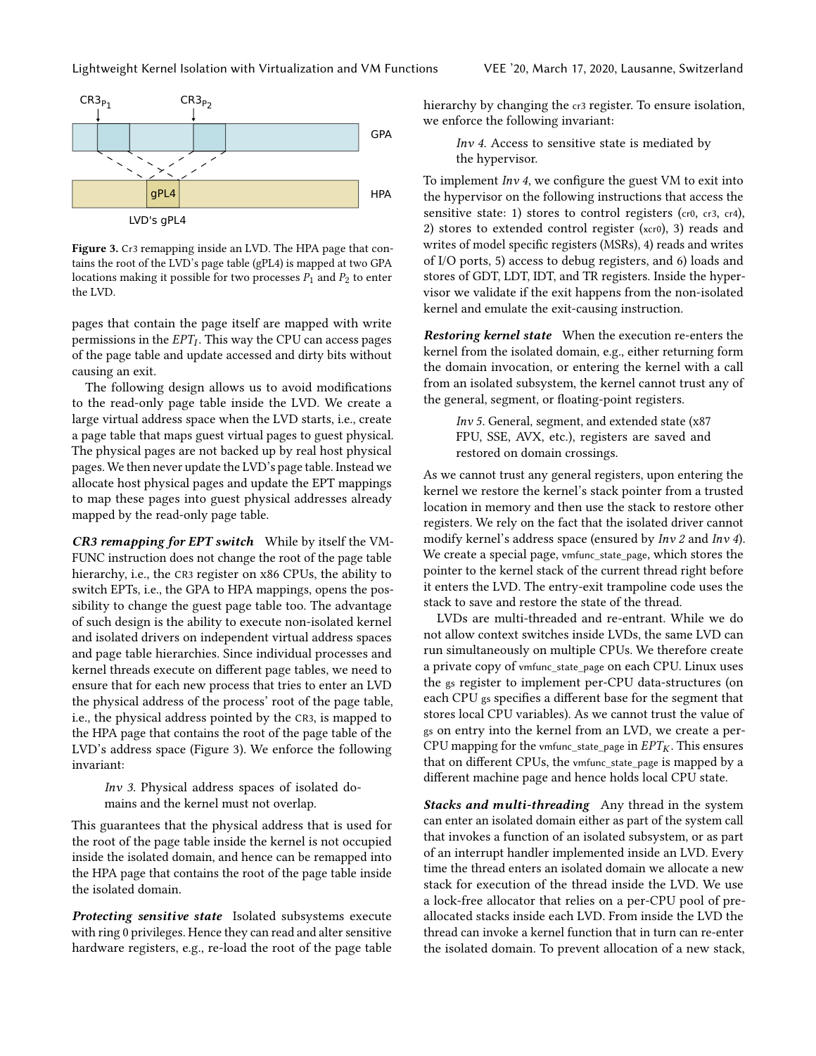<span id="page-6-0"></span>

Figure 3. Cr3 remapping inside an LVD. The HPA page that contains the root of the LVD's page table (gPL4) is mapped at two GPA locations making it possible for two processes  $P_1$  and  $P_2$  to enter the LVD.

pages that contain the page itself are mapped with write permissions in the  $EPT_I$ . This way the CPU can access pages<br>of the page table and undate accessed and dirty bits without of the page table and update accessed and dirty bits without causing an exit.

The following design allows us to avoid modifications to the read-only page table inside the LVD. We create a large virtual address space when the LVD starts, i.e., create a page table that maps guest virtual pages to guest physical. The physical pages are not backed up by real host physical pages. We then never update the LVD's page table. Instead we allocate host physical pages and update the EPT mappings to map these pages into guest physical addresses already mapped by the read-only page table.

CR3 remapping for EPT switch While by itself the VM-FUNC instruction does not change the root of the page table hierarchy, i.e., the CR3 register on x86 CPUs, the ability to switch EPTs, i.e., the GPA to HPA mappings, opens the possibility to change the guest page table too. The advantage of such design is the ability to execute non-isolated kernel and isolated drivers on independent virtual address spaces and page table hierarchies. Since individual processes and kernel threads execute on different page tables, we need to ensure that for each new process that tries to enter an LVD the physical address of the process' root of the page table, i.e., the physical address pointed by the CR3, is mapped to the HPA page that contains the root of the page table of the LVD's address space [\(Figure 3\)](#page-6-0). We enforce the following invariant:

Inv 3. Physical address spaces of isolated domains and the kernel must not overlap.

This guarantees that the physical address that is used for the root of the page table inside the kernel is not occupied inside the isolated domain, and hence can be remapped into the HPA page that contains the root of the page table inside the isolated domain.

Protecting sensitive state Isolated subsystems execute with ring 0 privileges. Hence they can read and alter sensitive hardware registers, e.g., re-load the root of the page table

hierarchy by changing the  $cr3$  register. To ensure isolation, we enforce the following invariant:

> Inv 4. Access to sensitive state is mediated by the hypervisor.

To implement  $Inv 4$ , we configure the guest VM to exit into the hypervisor on the following instructions that access the sensitive state: 1) stores to control registers (cr0, cr3, cr4), 2) stores to extended control register (xcr0), 3) reads and writes of model specific registers (MSRs), 4) reads and writes of I/O ports, 5) access to debug registers, and 6) loads and stores of GDT, LDT, IDT, and TR registers. Inside the hypervisor we validate if the exit happens from the non-isolated kernel and emulate the exit-causing instruction.

Restoring kernel state When the execution re-enters the kernel from the isolated domain, e.g., either returning form the domain invocation, or entering the kernel with a call from an isolated subsystem, the kernel cannot trust any of the general, segment, or floating-point registers.

> Inv 5. General, segment, and extended state (x87 FPU, SSE, AVX, etc.), registers are saved and restored on domain crossings.

As we cannot trust any general registers, upon entering the kernel we restore the kernel's stack pointer from a trusted location in memory and then use the stack to restore other registers. We rely on the fact that the isolated driver cannot modify kernel's address space (ensured by Inv 2 and Inv 4). We create a special page, vmfunc\_state\_page, which stores the pointer to the kernel stack of the current thread right before it enters the LVD. The entry-exit trampoline code uses the stack to save and restore the state of the thread.

LVDs are multi-threaded and re-entrant. While we do not allow context switches inside LVDs, the same LVD can run simultaneously on multiple CPUs. We therefore create a private copy of vmfunc\_state\_page on each CPU. Linux uses the gs register to implement per-CPU data-structures (on each CPU gs specifies a different base for the segment that stores local CPU variables). As we cannot trust the value of gs on entry into the kernel from an LVD, we create a per-CPU mapping for the vmfunc\_state\_page in  $EPT_K$ . This ensures that on different CPUs, the vmfunc\_state\_page is mapped by a different machine page and hence holds local CPU state.

Stacks and multi-threading Any thread in the system can enter an isolated domain either as part of the system call that invokes a function of an isolated subsystem, or as part of an interrupt handler implemented inside an LVD. Every time the thread enters an isolated domain we allocate a new stack for execution of the thread inside the LVD. We use a lock-free allocator that relies on a per-CPU pool of preallocated stacks inside each LVD. From inside the LVD the thread can invoke a kernel function that in turn can re-enter the isolated domain. To prevent allocation of a new stack,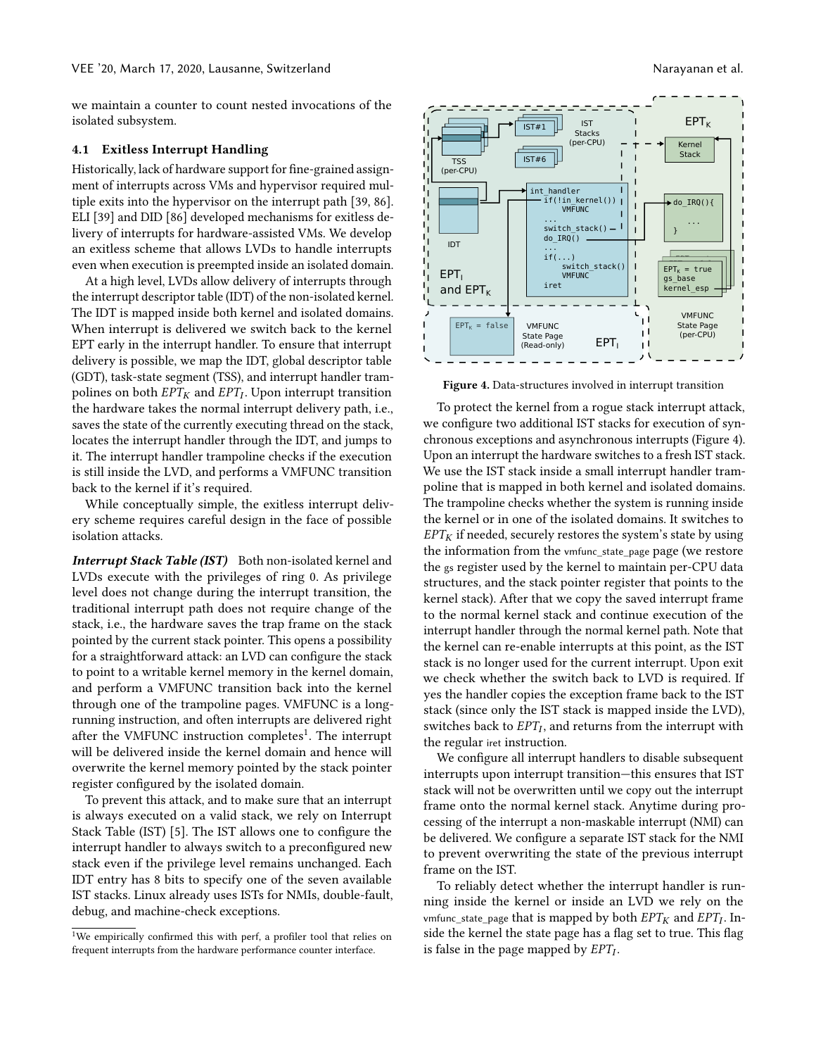we maintain a counter to count nested invocations of the isolated subsystem.

#### 4.1 Exitless Interrupt Handling

Historically, lack of hardware support for fine-grained assignment of interrupts across VMs and hypervisor required multiple exits into the hypervisor on the interrupt path [\[39,](#page-12-16) [86\]](#page-14-8). ELI [\[39\]](#page-12-16) and DID [\[86\]](#page-14-8) developed mechanisms for exitless delivery of interrupts for hardware-assisted VMs. We develop an exitless scheme that allows LVDs to handle interrupts even when execution is preempted inside an isolated domain.

At a high level, LVDs allow delivery of interrupts through the interrupt descriptor table (IDT) of the non-isolated kernel. The IDT is mapped inside both kernel and isolated domains. When interrupt is delivered we switch back to the kernel EPT early in the interrupt handler. To ensure that interrupt delivery is possible, we map the IDT, global descriptor table (GDT), task-state segment (TSS), and interrupt handler trampolines on both  $EPT_K$  and  $EPT_I$ . Upon interrupt transition<br>the bardware takes the normal interrupt delivery path, i.e. the hardware takes the normal interrupt delivery path, i.e., saves the state of the currently executing thread on the stack, locates the interrupt handler through the IDT, and jumps to it. The interrupt handler trampoline checks if the execution is still inside the LVD, and performs a VMFUNC transition back to the kernel if it's required.

While conceptually simple, the exitless interrupt delivery scheme requires careful design in the face of possible isolation attacks.

Interrupt Stack Table (IST) Both non-isolated kernel and LVDs execute with the privileges of ring 0. As privilege level does not change during the interrupt transition, the traditional interrupt path does not require change of the stack, i.e., the hardware saves the trap frame on the stack pointed by the current stack pointer. This opens a possibility for a straightforward attack: an LVD can configure the stack to point to a writable kernel memory in the kernel domain, and perform a VMFUNC transition back into the kernel through one of the trampoline pages. VMFUNC is a longrunning instruction, and often interrupts are delivered right after the VMFUNC instruction completes<sup>[1](#page-7-0)</sup>. The interrupt will be delivered inside the kernel domain and hence will overwrite the kernel memory pointed by the stack pointer register configured by the isolated domain.

To prevent this attack, and to make sure that an interrupt is always executed on a valid stack, we rely on Interrupt Stack Table (IST) [\[5\]](#page-12-38). The IST allows one to configure the interrupt handler to always switch to a preconfigured new stack even if the privilege level remains unchanged. Each IDT entry has 8 bits to specify one of the seven available IST stacks. Linux already uses ISTs for NMIs, double-fault, debug, and machine-check exceptions.

<span id="page-7-1"></span>

Figure 4. Data-structures involved in interrupt transition

To protect the kernel from a rogue stack interrupt attack, we configure two additional IST stacks for execution of synchronous exceptions and asynchronous interrupts [\(Figure 4\)](#page-7-1). Upon an interrupt the hardware switches to a fresh IST stack. We use the IST stack inside a small interrupt handler trampoline that is mapped in both kernel and isolated domains. The trampoline checks whether the system is running inside the kernel or in one of the isolated domains. It switches to  $EPT_K$  if needed, securely restores the system's state by using the information from the vmfunc\_state\_page page (we restore the gs register used by the kernel to maintain per-CPU data structures, and the stack pointer register that points to the kernel stack). After that we copy the saved interrupt frame to the normal kernel stack and continue execution of the interrupt handler through the normal kernel path. Note that the kernel can re-enable interrupts at this point, as the IST stack is no longer used for the current interrupt. Upon exit we check whether the switch back to LVD is required. If yes the handler copies the exception frame back to the IST stack (since only the IST stack is mapped inside the LVD), switches back to  $EPT_I$ , and returns from the interrupt with the reqular jet instruction the regular iret instruction.

We configure all interrupt handlers to disable subsequent interrupts upon interrupt transition—this ensures that IST stack will not be overwritten until we copy out the interrupt frame onto the normal kernel stack. Anytime during processing of the interrupt a non-maskable interrupt (NMI) can be delivered. We configure a separate IST stack for the NMI to prevent overwriting the state of the previous interrupt frame on the IST.

To reliably detect whether the interrupt handler is running inside the kernel or inside an LVD we rely on the vmfunc\_state\_page that is mapped by both  $EPT_K$  and  $EPT_I$ . In-<br>side the kernel the state page has a flag set to true. This flag side the kernel the state page has a flag set to true. This flag is false in the page mapped by  $EPT_I$ .

<span id="page-7-0"></span><sup>&</sup>lt;sup>1</sup>We empirically confirmed this with perf, a profiler tool that relies on frequent interrupts from the hardware performance counter interface.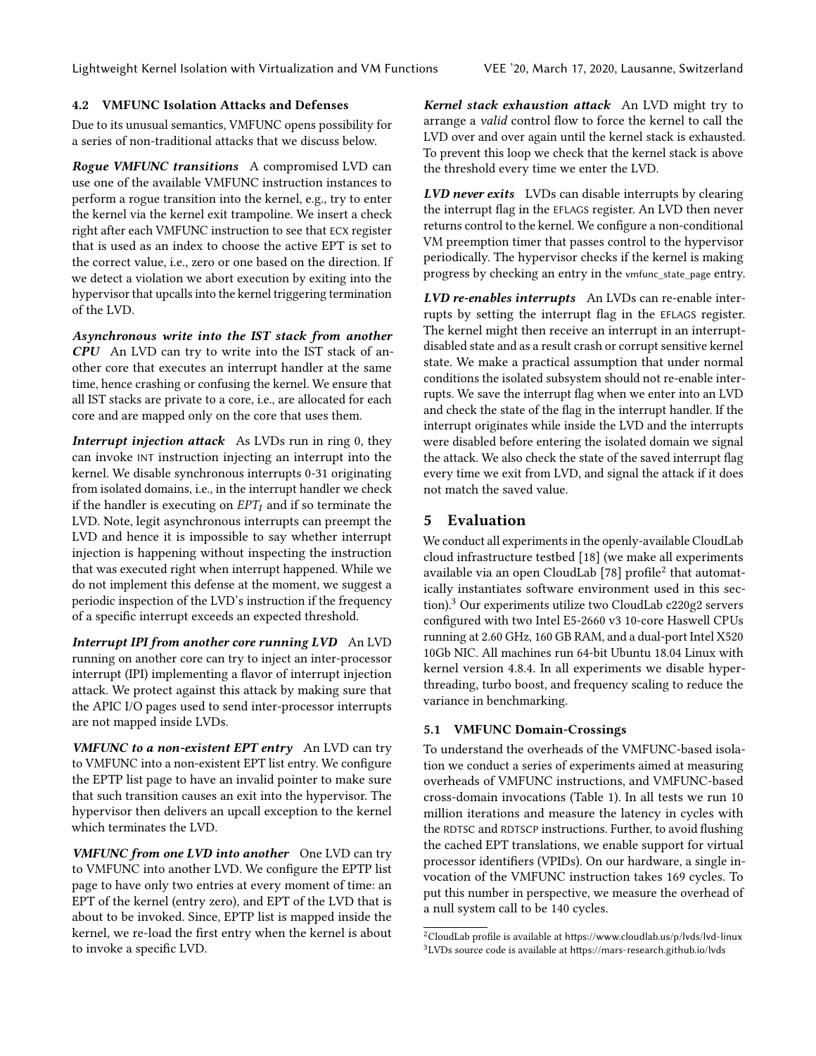#### 4.2 VMFUNC Isolation Attacks and Defenses

Due to its unusual semantics, VMFUNC opens possibility for a series of non-traditional attacks that we discuss below.

Rogue VMFUNC transitions A compromised LVD can use one of the available VMFUNC instruction instances to perform a rogue transition into the kernel, e.g., try to enter the kernel via the kernel exit trampoline. We insert a check right after each VMFUNC instruction to see that ECX register that is used as an index to choose the active EPT is set to the correct value, i.e., zero or one based on the direction. If we detect a violation we abort execution by exiting into the hypervisor that upcalls into the kernel triggering termination of the LVD.

Asynchronous write into the IST stack from another CPU An LVD can try to write into the IST stack of another core that executes an interrupt handler at the same time, hence crashing or confusing the kernel. We ensure that all IST stacks are private to a core, i.e., are allocated for each core and are mapped only on the core that uses them.

Interrupt injection attack As LVDs run in ring 0, they can invoke INT instruction injecting an interrupt into the kernel. We disable synchronous interrupts 0-31 originating from isolated domains, i.e., in the interrupt handler we check if the handler is executing on  $EPT_I$  and if so terminate the LVD. Note, legit asynchronous interrupts can preempt the LVD and hence it is impossible to say whether interrupt injection is happening without inspecting the instruction that was executed right when interrupt happened. While we do not implement this defense at the moment, we suggest a periodic inspection of the LVD's instruction if the frequency of a specific interrupt exceeds an expected threshold.

Interrupt IPI from another core running LVD An LVD running on another core can try to inject an inter-processor interrupt (IPI) implementing a flavor of interrupt injection attack. We protect against this attack by making sure that the APIC I/O pages used to send inter-processor interrupts are not mapped inside LVDs.

VMFUNC to a non-existent EPT entry An LVD can try to VMFUNC into a non-existent EPT list entry. We configure the EPTP list page to have an invalid pointer to make sure that such transition causes an exit into the hypervisor. The hypervisor then delivers an upcall exception to the kernel which terminates the LVD.

VMFUNC from one LVD into another One LVD can try to VMFUNC into another LVD. We configure the EPTP list page to have only two entries at every moment of time: an EPT of the kernel (entry zero), and EPT of the LVD that is about to be invoked. Since, EPTP list is mapped inside the kernel, we re-load the first entry when the kernel is about to invoke a specific LVD.

Kernel stack exhaustion attack An LVD might try to arrange a valid control flow to force the kernel to call the LVD over and over again until the kernel stack is exhausted. To prevent this loop we check that the kernel stack is above the threshold every time we enter the LVD.

LVD never exits LVDs can disable interrupts by clearing the interrupt flag in the EFLAGS register. An LVD then never returns control to the kernel. We configure a non-conditional VM preemption timer that passes control to the hypervisor periodically. The hypervisor checks if the kernel is making progress by checking an entry in the vmfunc\_state\_page entry.

LVD re-enables interrupts An LVDs can re-enable interrupts by setting the interrupt flag in the EFLAGS register. The kernel might then receive an interrupt in an interruptdisabled state and as a result crash or corrupt sensitive kernel state. We make a practical assumption that under normal conditions the isolated subsystem should not re-enable interrupts. We save the interrupt flag when we enter into an LVD and check the state of the flag in the interrupt handler. If the interrupt originates while inside the LVD and the interrupts were disabled before entering the isolated domain we signal the attack. We also check the state of the saved interrupt flag every time we exit from LVD, and signal the attack if it does not match the saved value.

# <span id="page-8-0"></span>5 Evaluation

We conduct all experiments in the openly-available CloudLab cloud infrastructure testbed [\[18\]](#page-12-39) (we make all experiments available via an open CloudLab  $[78]$  profile $^2$  $^2$  that automatically instantiates software environment used in this section).[3](#page-8-2) Our experiments utilize two CloudLab c220g2 servers configured with two Intel E5-2660 v3 10-core Haswell CPUs running at 2.60 GHz, 160 GB RAM, and a dual-port Intel X520 10Gb NIC. All machines run 64-bit Ubuntu 18.04 Linux with kernel version 4.8.4. In all experiments we disable hyperthreading, turbo boost, and frequency scaling to reduce the variance in benchmarking.

#### 5.1 VMFUNC Domain-Crossings

To understand the overheads of the VMFUNC-based isolation we conduct a series of experiments aimed at measuring overheads of VMFUNC instructions, and VMFUNC-based cross-domain invocations [\(Table 1\)](#page-9-0). In all tests we run 10 million iterations and measure the latency in cycles with the RDTSC and RDTSCP instructions. Further, to avoid flushing the cached EPT translations, we enable support for virtual processor identifiers (VPIDs). On our hardware, a single invocation of the VMFUNC instruction takes 169 cycles. To put this number in perspective, we measure the overhead of a null system call to be 140 cycles.

<span id="page-8-2"></span><span id="page-8-1"></span><sup>2</sup>CloudLab profile is available at <https://www.cloudlab.us/p/lvds/lvd-linux>  $3$ LVDs source code is available at <https://mars-research.github.io/lvds>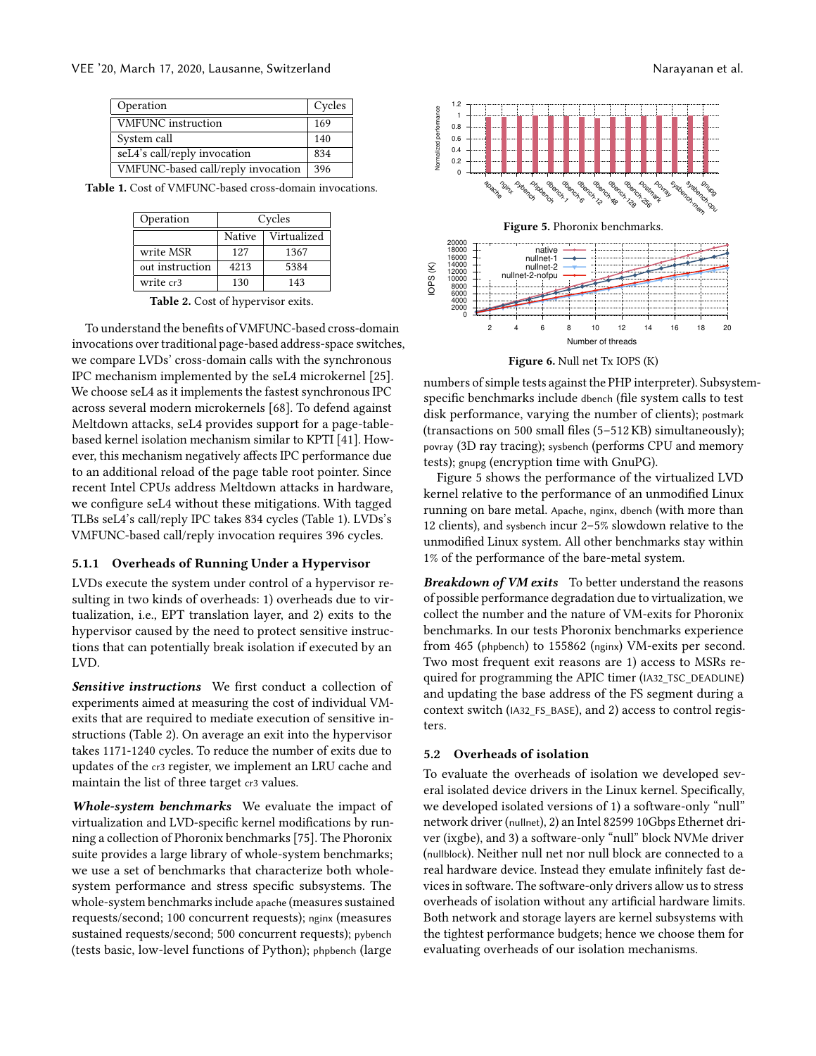<span id="page-9-0"></span>

| Operation                          | Cycles |
|------------------------------------|--------|
| <b>VMFUNC</b> instruction          | 169    |
| System call                        | 140    |
| seL4's call/reply invocation       | 834    |
| VMFUNC-based call/reply invocation | 396    |

<span id="page-9-1"></span>Table 1. Cost of VMFUNC-based cross-domain invocations.

| Operation       | Cycles |             |  |
|-----------------|--------|-------------|--|
|                 | Native | Virtualized |  |
| write MSR       | 127    | 1367        |  |
| out instruction | 4213   | 5384        |  |
| write cr3       | 130    | 143         |  |

Table 2. Cost of hypervisor exits.

To understand the benefits of VMFUNC-based cross-domain invocations over traditional page-based address-space switches, we compare LVDs' cross-domain calls with the synchronous IPC mechanism implemented by the seL4 microkernel [\[25\]](#page-12-17). We choose seL4 as it implements the fastest synchronous IPC across several modern microkernels [\[68\]](#page-13-7). To defend against Meltdown attacks, seL4 provides support for a page-tablebased kernel isolation mechanism similar to KPTI [\[41\]](#page-12-40). However, this mechanism negatively affects IPC performance due to an additional reload of the page table root pointer. Since recent Intel CPUs address Meltdown attacks in hardware, we configure seL4 without these mitigations. With tagged TLBs seL4's call/reply IPC takes 834 cycles [\(Table 1\)](#page-9-0). LVDs's VMFUNC-based call/reply invocation requires 396 cycles.

#### 5.1.1 Overheads of Running Under a Hypervisor

LVDs execute the system under control of a hypervisor resulting in two kinds of overheads: 1) overheads due to virtualization, i.e., EPT translation layer, and 2) exits to the hypervisor caused by the need to protect sensitive instructions that can potentially break isolation if executed by an LVD.

Sensitive instructions We first conduct a collection of experiments aimed at measuring the cost of individual VMexits that are required to mediate execution of sensitive instructions [\(Table 2\)](#page-9-1). On average an exit into the hypervisor takes 1171-1240 cycles. To reduce the number of exits due to updates of the cr3 register, we implement an LRU cache and maintain the list of three target cr3 values.

Whole-system benchmarks We evaluate the impact of virtualization and LVD-specific kernel modifications by running a collection of Phoronix benchmarks [\[75\]](#page-13-34). The Phoronix suite provides a large library of whole-system benchmarks; we use a set of benchmarks that characterize both wholesystem performance and stress specific subsystems. The whole-system benchmarks include apache (measures sustained requests/second; 100 concurrent requests); nginx (measures sustained requests/second; 500 concurrent requests); pybench (tests basic, low-level functions of Python); phpbench (large

<span id="page-9-3"></span><span id="page-9-2"></span>

Figure 6. Null net Tx IOPS (K)

numbers of simple tests against the PHP interpreter). Subsystemspecific benchmarks include dbench (file system calls to test disk performance, varying the number of clients); postmark (transactions on 500 small files (5–512 KB) simultaneously); povray (3D ray tracing); sysbench (performs CPU and memory tests); gnupg (encryption time with GnuPG).

[Figure 5](#page-9-2) shows the performance of the virtualized LVD kernel relative to the performance of an unmodified Linux running on bare metal. Apache, nginx, dbench (with more than 12 clients), and sysbench incur 2–5% slowdown relative to the unmodified Linux system. All other benchmarks stay within 1% of the performance of the bare-metal system.

Breakdown of VM exits To better understand the reasons of possible performance degradation due to virtualization, we collect the number and the nature of VM-exits for Phoronix benchmarks. In our tests Phoronix benchmarks experience from 465 (phpbench) to 155862 (nginx) VM-exits per second. Two most frequent exit reasons are 1) access to MSRs required for programming the APIC timer (IA32\_TSC\_DEADLINE) and updating the base address of the FS segment during a context switch (IA32\_FS\_BASE), and 2) access to control registers.

#### 5.2 Overheads of isolation

To evaluate the overheads of isolation we developed several isolated device drivers in the Linux kernel. Specifically, we developed isolated versions of 1) a software-only "null" network driver (nullnet), 2) an Intel 82599 10Gbps Ethernet driver (ixgbe), and 3) a software-only "null" block NVMe driver (nullblock). Neither null net nor null block are connected to a real hardware device. Instead they emulate infinitely fast devices in software. The software-only drivers allow us to stress overheads of isolation without any artificial hardware limits. Both network and storage layers are kernel subsystems with the tightest performance budgets; hence we choose them for evaluating overheads of our isolation mechanisms.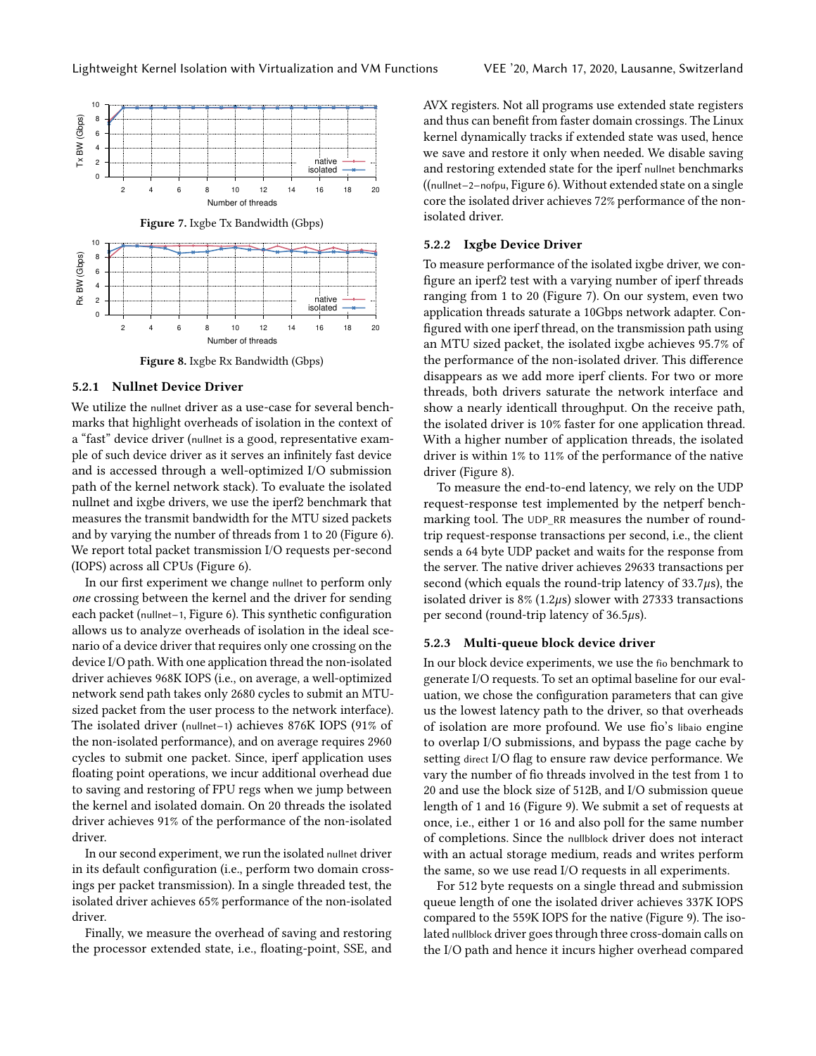<span id="page-10-1"></span><span id="page-10-0"></span>

Figure 8. Ixgbe Rx Bandwidth (Gbps)

#### 5.2.1 Nullnet Device Driver

We utilize the nullnet driver as a use-case for several benchmarks that highlight overheads of isolation in the context of a "fast" device driver (nullnet is a good, representative example of such device driver as it serves an infinitely fast device and is accessed through a well-optimized I/O submission path of the kernel network stack). To evaluate the isolated nullnet and ixgbe drivers, we use the iperf2 benchmark that measures the transmit bandwidth for the MTU sized packets and by varying the number of threads from 1 to 20 [\(Figure 6\)](#page-9-3). We report total packet transmission I/O requests per-second (IOPS) across all CPUs [\(Figure 6\)](#page-9-3).

In our first experiment we change nullnet to perform only one crossing between the kernel and the driver for sending each packet (nullnet−1, [Figure 6\)](#page-9-3). This synthetic configuration allows us to analyze overheads of isolation in the ideal scenario of a device driver that requires only one crossing on the device I/O path. With one application thread the non-isolated driver achieves 968K IOPS (i.e., on average, a well-optimized network send path takes only 2680 cycles to submit an MTUsized packet from the user process to the network interface). The isolated driver (nullnet−1) achieves 876K IOPS (91% of the non-isolated performance), and on average requires 2960 cycles to submit one packet. Since, iperf application uses floating point operations, we incur additional overhead due to saving and restoring of FPU regs when we jump between the kernel and isolated domain. On 20 threads the isolated driver achieves 91% of the performance of the non-isolated driver.

In our second experiment, we run the isolated nullnet driver in its default configuration (i.e., perform two domain crossings per packet transmission). In a single threaded test, the isolated driver achieves 65% performance of the non-isolated driver.

Finally, we measure the overhead of saving and restoring the processor extended state, i.e., floating-point, SSE, and

AVX registers. Not all programs use extended state registers and thus can benefit from faster domain crossings. The Linux kernel dynamically tracks if extended state was used, hence we save and restore it only when needed. We disable saving and restoring extended state for the iperf nullnet benchmarks ((nullnet−2−nofpu, [Figure 6\)](#page-9-3). Without extended state on a single core the isolated driver achieves 72% performance of the nonisolated driver.

#### 5.2.2 Ixgbe Device Driver

To measure performance of the isolated ixgbe driver, we configure an iperf2 test with a varying number of iperf threads ranging from 1 to 20 [\(Figure 7\)](#page-10-0). On our system, even two application threads saturate a 10Gbps network adapter. Configured with one iperf thread, on the transmission path using an MTU sized packet, the isolated ixgbe achieves 95.7% of the performance of the non-isolated driver. This difference disappears as we add more iperf clients. For two or more threads, both drivers saturate the network interface and show a nearly identicall throughput. On the receive path, the isolated driver is 10% faster for one application thread. With a higher number of application threads, the isolated driver is within 1% to 11% of the performance of the native driver [\(Figure 8\)](#page-10-1).

To measure the end-to-end latency, we rely on the UDP request-response test implemented by the netperf benchmarking tool. The UDP\_RR measures the number of roundtrip request-response transactions per second, i.e., the client sends a 64 byte UDP packet and waits for the response from the server. The native driver achieves 29633 transactions per second (which equals the round-trip latency of  $33.7\mu s$ ), the isolated driver is  $8\%$  (1.2 $\mu$ s) slower with 27333 transactions per second (round-trip latency of 36.5µs).

#### 5.2.3 Multi-queue block device driver

In our block device experiments, we use the fio benchmark to generate I/O requests. To set an optimal baseline for our evaluation, we chose the configuration parameters that can give us the lowest latency path to the driver, so that overheads of isolation are more profound. We use fio's libaio engine to overlap I/O submissions, and bypass the page cache by setting direct I/O flag to ensure raw device performance. We vary the number of fio threads involved in the test from 1 to 20 and use the block size of 512B, and I/O submission queue length of 1 and 16 [\(Figure 9\)](#page-11-0). We submit a set of requests at once, i.e., either 1 or 16 and also poll for the same number of completions. Since the nullblock driver does not interact with an actual storage medium, reads and writes perform the same, so we use read I/O requests in all experiments.

For 512 byte requests on a single thread and submission queue length of one the isolated driver achieves 337K IOPS compared to the 559K IOPS for the native [\(Figure 9\)](#page-11-0). The isolated nullblock driver goes through three cross-domain calls on the I/O path and hence it incurs higher overhead compared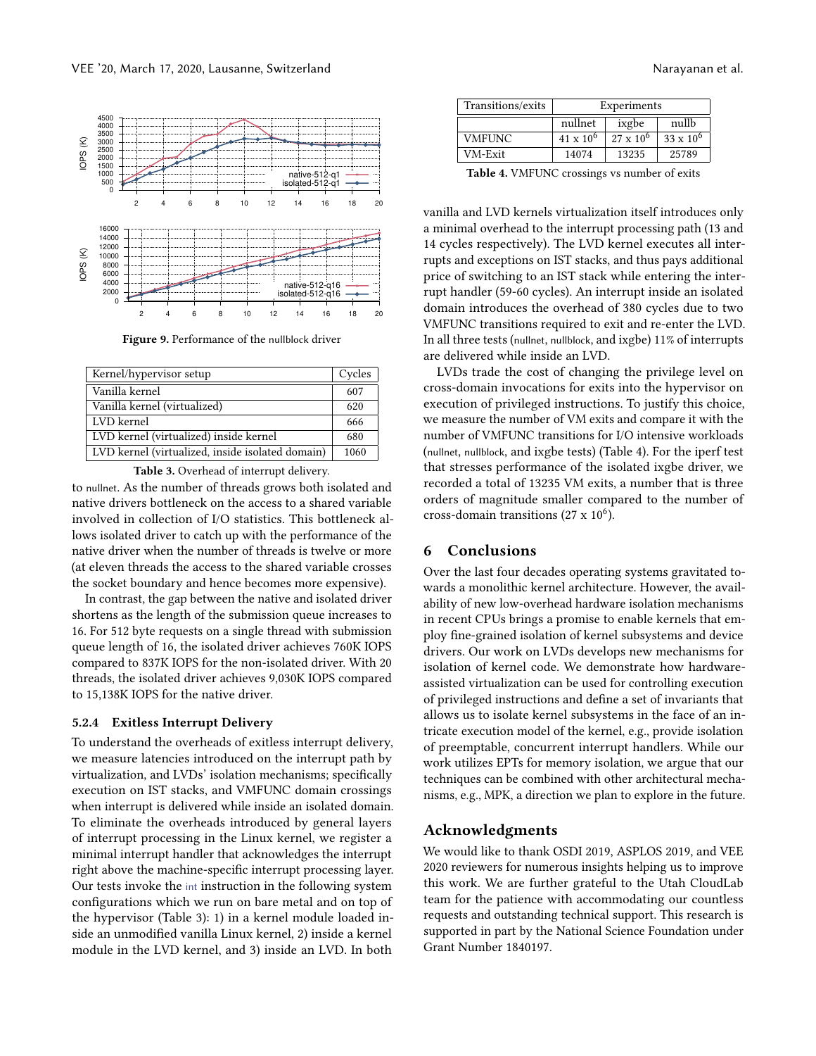<span id="page-11-0"></span>

Figure 9. Performance of the nullblock driver

<span id="page-11-1"></span>

| Kernel/hypervisor setup                          | Cycles |
|--------------------------------------------------|--------|
| Vanilla kernel                                   | 607    |
| Vanilla kernel (virtualized)                     | 620    |
| LVD kernel                                       | 666    |
| LVD kernel (virtualized) inside kernel           | 680    |
| LVD kernel (virtualized, inside isolated domain) | 1060   |

Table 3. Overhead of interrupt delivery.

to nullnet. As the number of threads grows both isolated and native drivers bottleneck on the access to a shared variable involved in collection of I/O statistics. This bottleneck allows isolated driver to catch up with the performance of the native driver when the number of threads is twelve or more (at eleven threads the access to the shared variable crosses the socket boundary and hence becomes more expensive).

In contrast, the gap between the native and isolated driver shortens as the length of the submission queue increases to 16. For 512 byte requests on a single thread with submission queue length of 16, the isolated driver achieves 760K IOPS compared to 837K IOPS for the non-isolated driver. With 20 threads, the isolated driver achieves 9,030K IOPS compared to 15,138K IOPS for the native driver.

#### 5.2.4 Exitless Interrupt Delivery

To understand the overheads of exitless interrupt delivery, we measure latencies introduced on the interrupt path by virtualization, and LVDs' isolation mechanisms; specifically execution on IST stacks, and VMFUNC domain crossings when interrupt is delivered while inside an isolated domain. To eliminate the overheads introduced by general layers of interrupt processing in the Linux kernel, we register a minimal interrupt handler that acknowledges the interrupt right above the machine-specific interrupt processing layer. Our tests invoke the int instruction in the following system configurations which we run on bare metal and on top of the hypervisor [\(Table 3\)](#page-11-1): 1) in a kernel module loaded inside an unmodified vanilla Linux kernel, 2) inside a kernel module in the LVD kernel, and 3) inside an LVD. In both

<span id="page-11-2"></span>

| Transitions/exits | Experiments        |                  |                  |
|-------------------|--------------------|------------------|------------------|
|                   | nullnet            | ixgbe            | nullb            |
| <b>VMFUNC</b>     | $41 \times 10^{6}$ | $27 \times 10^6$ | $33 \times 10^6$ |
| VM-Exit           | 14074              | 13235            | 25789            |
|                   |                    |                  |                  |

Table 4. VMFUNC crossings vs number of exits

vanilla and LVD kernels virtualization itself introduces only a minimal overhead to the interrupt processing path (13 and 14 cycles respectively). The LVD kernel executes all interrupts and exceptions on IST stacks, and thus pays additional price of switching to an IST stack while entering the interrupt handler (59-60 cycles). An interrupt inside an isolated domain introduces the overhead of 380 cycles due to two VMFUNC transitions required to exit and re-enter the LVD. In all three tests (nullnet, nullblock, and ixgbe) 11% of interrupts are delivered while inside an LVD.

LVDs trade the cost of changing the privilege level on cross-domain invocations for exits into the hypervisor on execution of privileged instructions. To justify this choice, we measure the number of VM exits and compare it with the number of VMFUNC transitions for I/O intensive workloads (nullnet, nullblock, and ixgbe tests) [\(Table 4\)](#page-11-2). For the iperf test that stresses performance of the isolated ixgbe driver, we recorded a total of 13235 VM exits, a number that is three orders of magnitude smaller compared to the number of cross-domain transitions (27 x  $10^6$ ).

## 6 Conclusions

Over the last four decades operating systems gravitated towards a monolithic kernel architecture. However, the availability of new low-overhead hardware isolation mechanisms in recent CPUs brings a promise to enable kernels that employ fine-grained isolation of kernel subsystems and device drivers. Our work on LVDs develops new mechanisms for isolation of kernel code. We demonstrate how hardwareassisted virtualization can be used for controlling execution of privileged instructions and define a set of invariants that allows us to isolate kernel subsystems in the face of an intricate execution model of the kernel, e.g., provide isolation of preemptable, concurrent interrupt handlers. While our work utilizes EPTs for memory isolation, we argue that our techniques can be combined with other architectural mechanisms, e.g., MPK, a direction we plan to explore in the future.

#### Acknowledgments

We would like to thank OSDI 2019, ASPLOS 2019, and VEE 2020 reviewers for numerous insights helping us to improve this work. We are further grateful to the Utah CloudLab team for the patience with accommodating our countless requests and outstanding technical support. This research is supported in part by the National Science Foundation under Grant Number 1840197.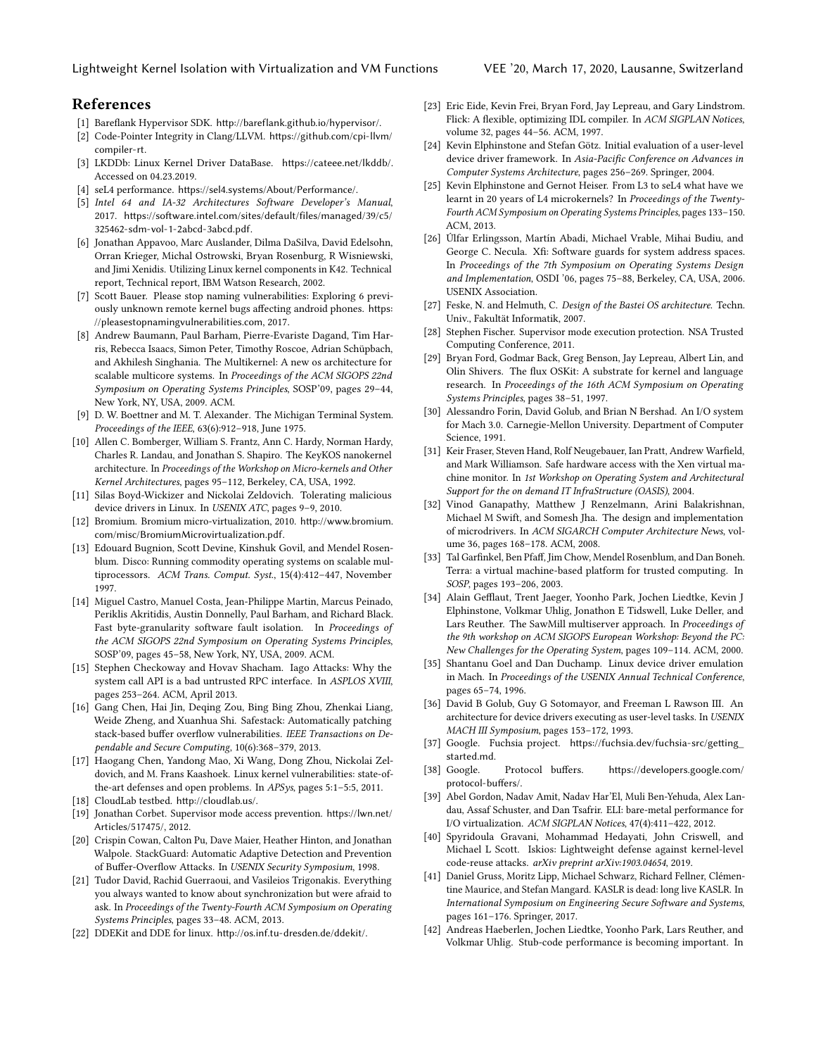## References

- <span id="page-12-37"></span>[1] Bareflank Hypervisor SDK. <http://bareflank.github.io/hypervisor/>.
- <span id="page-12-6"></span>[2] Code-Pointer Integrity in Clang/LLVM. [https://github.com/cpi-llvm/](https://github.com/cpi-llvm/compiler-rt) [compiler-rt](https://github.com/cpi-llvm/compiler-rt).
- <span id="page-12-0"></span>[3] LKDDb: Linux Kernel Driver DataBase. <https://cateee.net/lkddb/>. Accessed on 04.23.2019.
- <span id="page-12-8"></span>[4] seL4 performance. <https://sel4.systems/About/Performance/>.
- <span id="page-12-38"></span>[5] Intel 64 and IA-32 Architectures Software Developer's Manual, 2017. [https://software.intel.com/sites/default/files/managed/39/c5/](https://software.intel.com/sites/default/files/managed/39/c5/325462-sdm-vol-1-2abcd-3abcd.pdf) [325462-sdm-vol-1-2abcd-3abcd.pdf](https://software.intel.com/sites/default/files/managed/39/c5/325462-sdm-vol-1-2abcd-3abcd.pdf).
- <span id="page-12-9"></span>[6] Jonathan Appavoo, Marc Auslander, Dilma DaSilva, David Edelsohn, Orran Krieger, Michal Ostrowski, Bryan Rosenburg, R Wisniewski, and Jimi Xenidis. Utilizing Linux kernel components in K42. Technical report, Technical report, IBM Watson Research, 2002.
- <span id="page-12-1"></span>[7] Scott Bauer. Please stop naming vulnerabilities: Exploring 6 previously unknown remote kernel bugs affecting android phones. [https:](https://pleasestopnamingvulnerabilities.com) [//pleasestopnamingvulnerabilities.com](https://pleasestopnamingvulnerabilities.com), 2017.
- <span id="page-12-18"></span>[8] Andrew Baumann, Paul Barham, Pierre-Evariste Dagand, Tim Harris, Rebecca Isaacs, Simon Peter, Timothy Roscoe, Adrian Schüpbach, and Akhilesh Singhania. The Multikernel: A new os architecture for scalable multicore systems. In Proceedings of the ACM SIGOPS 22nd Symposium on Operating Systems Principles, SOSP'09, pages 29–44, New York, NY, USA, 2009. ACM.
- [9] D. W. Boettner and M. T. Alexander. The Michigan Terminal System. Proceedings of the IEEE, 63(6):912–918, June 1975.
- <span id="page-12-23"></span>[10] Allen C. Bomberger, William S. Frantz, Ann C. Hardy, Norman Hardy, Charles R. Landau, and Jonathan S. Shapiro. The KeyKOS nanokernel architecture. In Proceedings of the Workshop on Micro-kernels and Other Kernel Architectures, pages 95–112, Berkeley, CA, USA, 1992.
- <span id="page-12-30"></span>[11] Silas Boyd-Wickizer and Nickolai Zeldovich. Tolerating malicious device drivers in Linux. In USENIX ATC, pages 9–9, 2010.
- <span id="page-12-31"></span>[12] Bromium. Bromium micro-virtualization, 2010. [http://www.bromium.](http://www.bromium.com/misc/BromiumMicrovirtualization.pdf) [com/misc/BromiumMicrovirtualization.pdf](http://www.bromium.com/misc/BromiumMicrovirtualization.pdf).
- <span id="page-12-10"></span>[13] Edouard Bugnion, Scott Devine, Kinshuk Govil, and Mendel Rosenblum. Disco: Running commodity operating systems on scalable multiprocessors. ACM Trans. Comput. Syst., 15(4):412–447, November 1997.
- <span id="page-12-22"></span>[14] Miguel Castro, Manuel Costa, Jean-Philippe Martin, Marcus Peinado, Periklis Akritidis, Austin Donnelly, Paul Barham, and Richard Black. Fast byte-granularity software fault isolation. In Proceedings of the ACM SIGOPS 22nd Symposium on Operating Systems Principles, SOSP'09, pages 45–58, New York, NY, USA, 2009. ACM.
- <span id="page-12-36"></span>[15] Stephen Checkoway and Hovav Shacham. Iago Attacks: Why the system call API is a bad untrusted RPC interface. In ASPLOS XVIII, pages 253–264. ACM, April 2013.
- <span id="page-12-7"></span>[16] Gang Chen, Hai Jin, Deqing Zou, Bing Bing Zhou, Zhenkai Liang, Weide Zheng, and Xuanhua Shi. Safestack: Automatically patching stack-based buffer overflow vulnerabilities. IEEE Transactions on Dependable and Secure Computing, 10(6):368–379, 2013.
- <span id="page-12-2"></span>[17] Haogang Chen, Yandong Mao, Xi Wang, Dong Zhou, Nickolai Zeldovich, and M. Frans Kaashoek. Linux kernel vulnerabilities: state-ofthe-art defenses and open problems. In APSys, pages 5:1–5:5, 2011.
- <span id="page-12-39"></span>[18] CloudLab testbed. <http://cloudlab.us/>.
- <span id="page-12-4"></span>[19] Jonathan Corbet. Supervisor mode access prevention. [https://lwn.net/](https://lwn.net/Articles/517475/) [Articles/517475/](https://lwn.net/Articles/517475/), 2012.
- <span id="page-12-3"></span>[20] Crispin Cowan, Calton Pu, Dave Maier, Heather Hinton, and Jonathan Walpole. StackGuard: Automatic Adaptive Detection and Prevention of Buffer-Overflow Attacks. In USENIX Security Symposium, 1998.
- <span id="page-12-19"></span>[21] Tudor David, Rachid Guerraoui, and Vasileios Trigonakis. Everything you always wanted to know about synchronization but were afraid to ask. In Proceedings of the Twenty-Fourth ACM Symposium on Operating Systems Principles, pages 33–48. ACM, 2013.
- <span id="page-12-11"></span>[22] DDEKit and DDE for linux. <http://os.inf.tu-dresden.de/ddekit/>.
- <span id="page-12-27"></span>[23] Eric Eide, Kevin Frei, Bryan Ford, Jay Lepreau, and Gary Lindstrom. Flick: A flexible, optimizing IDL compiler. In ACM SIGPLAN Notices, volume 32, pages 44–56. ACM, 1997.
- <span id="page-12-12"></span>[24] Kevin Elphinstone and Stefan Götz. Initial evaluation of a user-level device driver framework. In Asia-Pacific Conference on Advances in Computer Systems Architecture, pages 256–269. Springer, 2004.
- <span id="page-12-17"></span>[25] Kevin Elphinstone and Gernot Heiser. From L3 to seL4 what have we learnt in 20 years of L4 microkernels? In Proceedings of the Twenty-Fourth ACM Symposium on Operating Systems Principles, pages 133–150. ACM, 2013.
- <span id="page-12-21"></span>[26] Úlfar Erlingsson, Martín Abadi, Michael Vrable, Mihai Budiu, and George C. Necula. Xfi: Software guards for system address spaces. In Proceedings of the 7th Symposium on Operating Systems Design and Implementation, OSDI '06, pages 75–88, Berkeley, CA, USA, 2006. USENIX Association.
- <span id="page-12-24"></span>[27] Feske, N. and Helmuth, C. Design of the Bastei OS architecture. Techn. Univ., Fakultät Informatik, 2007.
- <span id="page-12-5"></span>[28] Stephen Fischer. Supervisor mode execution protection. NSA Trusted Computing Conference, 2011.
- <span id="page-12-13"></span>[29] Bryan Ford, Godmar Back, Greg Benson, Jay Lepreau, Albert Lin, and Olin Shivers. The flux OSKit: A substrate for kernel and language research. In Proceedings of the 16th ACM Symposium on Operating Systems Principles, pages 38–51, 1997.
- <span id="page-12-25"></span>[30] Alessandro Forin, David Golub, and Brian N Bershad. An I/O system for Mach 3.0. Carnegie-Mellon University. Department of Computer Science, 1991.
- <span id="page-12-32"></span>[31] Keir Fraser, Steven Hand, Rolf Neugebauer, Ian Pratt, Andrew Warfield, and Mark Williamson. Safe hardware access with the Xen virtual machine monitor. In 1st Workshop on Operating System and Architectural Support for the on demand IT InfraStructure (OASIS), 2004.
- <span id="page-12-35"></span>[32] Vinod Ganapathy, Matthew J Renzelmann, Arini Balakrishnan, Michael M Swift, and Somesh Jha. The design and implementation of microdrivers. In ACM SIGARCH Computer Architecture News, volume 36, pages 168–178. ACM, 2008.
- <span id="page-12-33"></span>[33] Tal Garfinkel, Ben Pfaff, Jim Chow, Mendel Rosenblum, and Dan Boneh. Terra: a virtual machine-based platform for trusted computing. In SOSP, pages 193–206, 2003.
- <span id="page-12-34"></span>[34] Alain Gefflaut, Trent Jaeger, Yoonho Park, Jochen Liedtke, Kevin J Elphinstone, Volkmar Uhlig, Jonathon E Tidswell, Luke Deller, and Lars Reuther. The SawMill multiserver approach. In Proceedings of the 9th workshop on ACM SIGOPS European Workshop: Beyond the PC: New Challenges for the Operating System, pages 109–114. ACM, 2000.
- <span id="page-12-14"></span>[35] Shantanu Goel and Dan Duchamp. Linux device driver emulation in Mach. In Proceedings of the USENIX Annual Technical Conference, pages 65–74, 1996.
- <span id="page-12-15"></span>[36] David B Golub, Guy G Sotomayor, and Freeman L Rawson III. An architecture for device drivers executing as user-level tasks. In USENIX MACH III Symposium, pages 153–172, 1993.
- <span id="page-12-26"></span>[37] Google. Fuchsia project. [https://fuchsia.dev/fuchsia-src/getting\\_](https://fuchsia.dev/fuchsia-src/getting_started.md) [started.md](https://fuchsia.dev/fuchsia-src/getting_started.md).
- <span id="page-12-28"></span>[38] Google. Protocol buffers. [https://developers.google.com/](https://developers.google.com/protocol-buffers/) [protocol-buffers/](https://developers.google.com/protocol-buffers/).
- <span id="page-12-16"></span>[39] Abel Gordon, Nadav Amit, Nadav Har'El, Muli Ben-Yehuda, Alex Landau, Assaf Schuster, and Dan Tsafrir. ELI: bare-metal performance for I/O virtualization. ACM SIGPLAN Notices, 47(4):411–422, 2012.
- <span id="page-12-20"></span>[40] Spyridoula Gravani, Mohammad Hedayati, John Criswell, and Michael L Scott. Iskios: Lightweight defense against kernel-level code-reuse attacks. arXiv preprint arXiv:1903.04654, 2019.
- <span id="page-12-40"></span>[41] Daniel Gruss, Moritz Lipp, Michael Schwarz, Richard Fellner, Clémentine Maurice, and Stefan Mangard. KASLR is dead: long live KASLR. In International Symposium on Engineering Secure Software and Systems, pages 161–176. Springer, 2017.
- <span id="page-12-29"></span>[42] Andreas Haeberlen, Jochen Liedtke, Yoonho Park, Lars Reuther, and Volkmar Uhlig. Stub-code performance is becoming important. In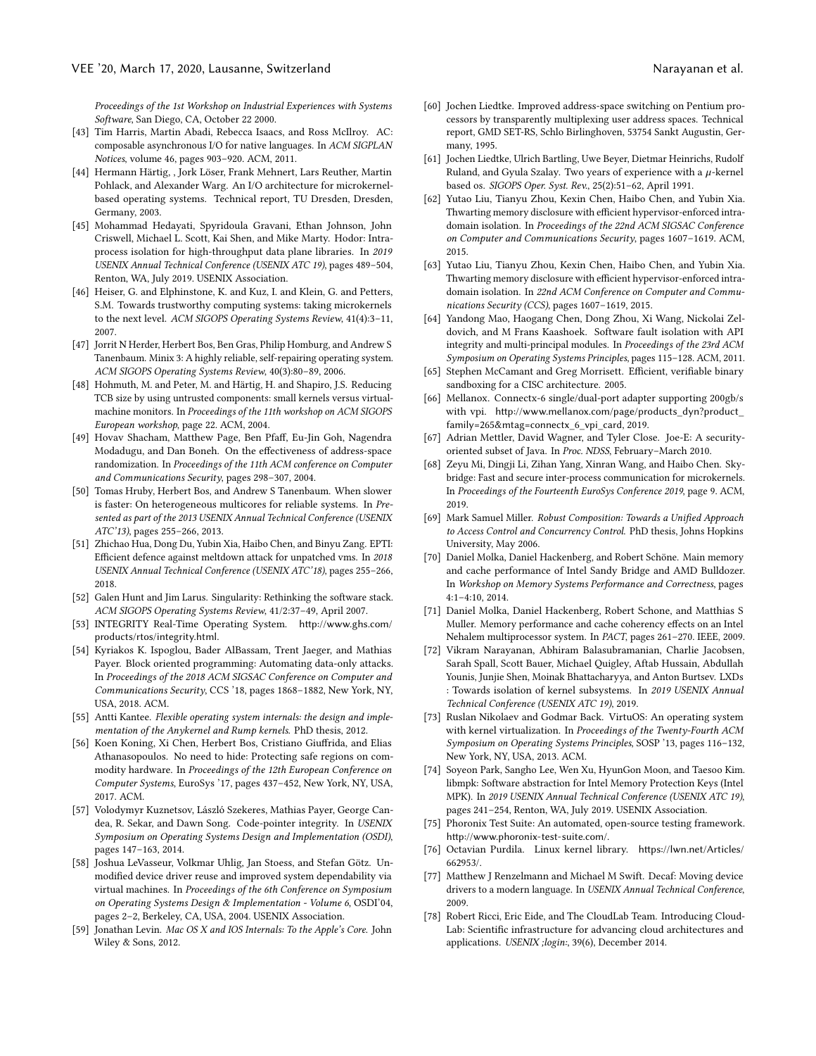Proceedings of the 1st Workshop on Industrial Experiences with Systems Software, San Diego, CA, October 22 2000.

- <span id="page-13-18"></span>[43] Tim Harris, Martin Abadi, Rebecca Isaacs, and Ross McIlroy. AC: composable asynchronous I/O for native languages. In ACM SIGPLAN Notices, volume 46, pages 903–920. ACM, 2011.
- <span id="page-13-8"></span>[44] Hermann Härtig, , Jork Löser, Frank Mehnert, Lars Reuther, Martin Pohlack, and Alexander Warg. An I/O architecture for microkernelbased operating systems. Technical report, TU Dresden, Dresden, Germany, 2003.
- <span id="page-13-4"></span>[45] Mohammad Hedayati, Spyridoula Gravani, Ethan Johnson, John Criswell, Michael L. Scott, Kai Shen, and Mike Marty. Hodor: Intraprocess isolation for high-throughput data plane libraries. In 2019 USENIX Annual Technical Conference (USENIX ATC 19), pages 489–504, Renton, WA, July 2019. USENIX Association.
- <span id="page-13-22"></span>[46] Heiser, G. and Elphinstone, K. and Kuz, I. and Klein, G. and Petters, S.M. Towards trustworthy computing systems: taking microkernels to the next level. ACM SIGOPS Operating Systems Review, 41(4):3–11, 2007.
- [47] Jorrit N Herder, Herbert Bos, Ben Gras, Philip Homburg, and Andrew S Tanenbaum. Minix 3: A highly reliable, self-repairing operating system. ACM SIGOPS Operating Systems Review, 40(3):80–89, 2006.
- <span id="page-13-23"></span>[48] Hohmuth, M. and Peter, M. and Härtig, H. and Shapiro, J.S. Reducing TCB size by using untrusted components: small kernels versus virtualmachine monitors. In Proceedings of the 11th workshop on ACM SIGOPS European workshop, page 22. ACM, 2004.
- <span id="page-13-0"></span>[49] Hovav Shacham, Matthew Page, Ben Pfaff, Eu-Jin Goh, Nagendra Modadugu, and Dan Boneh. On the effectiveness of address-space randomization. In Proceedings of the 11th ACM conference on Computer and Communications Security, pages 298–307, 2004.
- <span id="page-13-15"></span>[50] Tomas Hruby, Herbert Bos, and Andrew S Tanenbaum. When slower is faster: On heterogeneous multicores for reliable systems. In Presented as part of the 2013 USENIX Annual Technical Conference (USENIX ATC'13), pages 255–266, 2013.
- <span id="page-13-5"></span>[51] Zhichao Hua, Dong Du, Yubin Xia, Haibo Chen, and Binyu Zang. EPTI: Efficient defence against meltdown attack for unpatched vms. In 2018 USENIX Annual Technical Conference (USENIX ATC'18), pages 255–266, 2018.
- <span id="page-13-24"></span>[52] Galen Hunt and Jim Larus. Singularity: Rethinking the software stack. ACM SIGOPS Operating Systems Review, 41/2:37–49, April 2007.
- <span id="page-13-25"></span>[53] INTEGRITY Real-Time Operating System. [http://www.ghs.com/](http://www.ghs.com/products/rtos/integrity.html) [products/rtos/integrity.html](http://www.ghs.com/products/rtos/integrity.html).
- <span id="page-13-2"></span>[54] Kyriakos K. Ispoglou, Bader AlBassam, Trent Jaeger, and Mathias Payer. Block oriented programming: Automating data-only attacks. In Proceedings of the 2018 ACM SIGSAC Conference on Computer and Communications Security, CCS '18, pages 1868–1882, New York, NY, USA, 2018. ACM.
- <span id="page-13-9"></span>[55] Antti Kantee. Flexible operating system internals: the design and implementation of the Anykernel and Rump kernels. PhD thesis, 2012.
- <span id="page-13-11"></span>[56] Koen Koning, Xi Chen, Herbert Bos, Cristiano Giuffrida, and Elias Athanasopoulos. No need to hide: Protecting safe regions on commodity hardware. In Proceedings of the 12th European Conference on Computer Systems, EuroSys '17, pages 437–452, New York, NY, USA, 2017. ACM.
- <span id="page-13-1"></span>[57] Volodymyr Kuznetsov, László Szekeres, Mathias Payer, George Candea, R. Sekar, and Dawn Song. Code-pointer integrity. In USENIX Symposium on Operating Systems Design and Implementation (OSDI), pages 147–163, 2014.
- <span id="page-13-28"></span>[58] Joshua LeVasseur, Volkmar Uhlig, Jan Stoess, and Stefan Götz. Unmodified device driver reuse and improved system dependability via virtual machines. In Proceedings of the 6th Conference on Symposium on Operating Systems Design & Implementation - Volume 6, OSDI'04, pages 2–2, Berkeley, CA, USA, 2004. USENIX Association.
- <span id="page-13-27"></span>[59] Jonathan Levin. Mac OS X and IOS Internals: To the Apple's Core. John Wiley & Sons, 2012.
- <span id="page-13-14"></span>[60] Jochen Liedtke. Improved address-space switching on Pentium processors by transparently multiplexing user address spaces. Technical report, GMD SET-RS, Schlo Birlinghoven, 53754 Sankt Augustin, Germany, 1995.
- <span id="page-13-26"></span>[61] Jochen Liedtke, Ulrich Bartling, Uwe Beyer, Dietmar Heinrichs, Rudolf Ruland, and Gyula Szalay. Two years of experience with a  $\mu$ -kernel based os. SIGOPS Oper. Syst. Rev., 25(2):51–62, April 1991.
- <span id="page-13-6"></span>[62] Yutao Liu, Tianyu Zhou, Kexin Chen, Haibo Chen, and Yubin Xia. Thwarting memory disclosure with efficient hypervisor-enforced intradomain isolation. In Proceedings of the 22nd ACM SIGSAC Conference on Computer and Communications Security, pages 1607–1619. ACM, 2015.
- <span id="page-13-12"></span>[63] Yutao Liu, Tianyu Zhou, Kexin Chen, Haibo Chen, and Yubin Xia. Thwarting memory disclosure with efficient hypervisor-enforced intradomain isolation. In 22nd ACM Conference on Computer and Communications Security (CCS), pages 1607–1619, 2015.
- <span id="page-13-20"></span>[64] Yandong Mao, Haogang Chen, Dong Zhou, Xi Wang, Nickolai Zeldovich, and M Frans Kaashoek. Software fault isolation with API integrity and multi-principal modules. In Proceedings of the 23rd ACM Symposium on Operating Systems Principles, pages 115–128. ACM, 2011.
- <span id="page-13-21"></span>[65] Stephen McCamant and Greg Morrisett. Efficient, verifiable binary sandboxing for a CISC architecture. 2005.
- <span id="page-13-3"></span>[66] Mellanox. Connectx-6 single/dual-port adapter supporting 200gb/s with vpi. [http://www.mellanox.com/page/products\\_dyn?product\\_](http://www.mellanox.com/page/products_dyn?product_family=265&mtag=connectx_6_vpi_card) [family=265&mtag=connectx\\_6\\_vpi\\_card](http://www.mellanox.com/page/products_dyn?product_family=265&mtag=connectx_6_vpi_card), 2019.
- <span id="page-13-31"></span>[67] Adrian Mettler, David Wagner, and Tyler Close. Joe-E: A securityoriented subset of Java. In Proc. NDSS, February–March 2010.
- <span id="page-13-7"></span>[68] Zeyu Mi, Dingji Li, Zihan Yang, Xinran Wang, and Haibo Chen. Skybridge: Fast and secure inter-process communication for microkernels. In Proceedings of the Fourteenth EuroSys Conference 2019, page 9. ACM, 2019.
- <span id="page-13-32"></span>[69] Mark Samuel Miller. Robust Composition: Towards a Unified Approach to Access Control and Concurrency Control. PhD thesis, Johns Hopkins University, May 2006.
- <span id="page-13-16"></span>[70] Daniel Molka, Daniel Hackenberg, and Robert Schöne. Main memory and cache performance of Intel Sandy Bridge and AMD Bulldozer. In Workshop on Memory Systems Performance and Correctness, pages 4:1–4:10, 2014.
- <span id="page-13-17"></span>[71] Daniel Molka, Daniel Hackenberg, Robert Schone, and Matthias S Muller. Memory performance and cache coherency effects on an Intel Nehalem multiprocessor system. In PACT, pages 261–270. IEEE, 2009.
- <span id="page-13-13"></span>[72] Vikram Narayanan, Abhiram Balasubramanian, Charlie Jacobsen, Sarah Spall, Scott Bauer, Michael Quigley, Aftab Hussain, Abdullah Younis, Junjie Shen, Moinak Bhattacharyya, and Anton Burtsev. LXDs : Towards isolation of kernel subsystems. In 2019 USENIX Annual Technical Conference (USENIX ATC 19), 2019.
- <span id="page-13-29"></span>[73] Ruslan Nikolaev and Godmar Back. VirtuOS: An operating system with kernel virtualization. In Proceedings of the Twenty-Fourth ACM Symposium on Operating Systems Principles, SOSP '13, pages 116–132, New York, NY, USA, 2013. ACM.
- <span id="page-13-19"></span>[74] Soyeon Park, Sangho Lee, Wen Xu, HyunGon Moon, and Taesoo Kim. libmpk: Software abstraction for Intel Memory Protection Keys (Intel MPK). In 2019 USENIX Annual Technical Conference (USENIX ATC 19), pages 241–254, Renton, WA, July 2019. USENIX Association.
- <span id="page-13-34"></span>[75] Phoronix Test Suite: An automated, open-source testing framework. <http://www.phoronix-test-suite.com/>.
- <span id="page-13-10"></span>[76] Octavian Purdila. Linux kernel library. [https://lwn.net/Articles/](https://lwn.net/Articles/662953/) [662953/](https://lwn.net/Articles/662953/).
- <span id="page-13-30"></span>[77] Matthew J Renzelmann and Michael M Swift. Decaf: Moving device drivers to a modern language. In USENIX Annual Technical Conference, 2009.
- <span id="page-13-33"></span>[78] Robert Ricci, Eric Eide, and The CloudLab Team. Introducing Cloud-Lab: Scientific infrastructure for advancing cloud architectures and applications. USENIX ;login:, 39(6), December 2014.